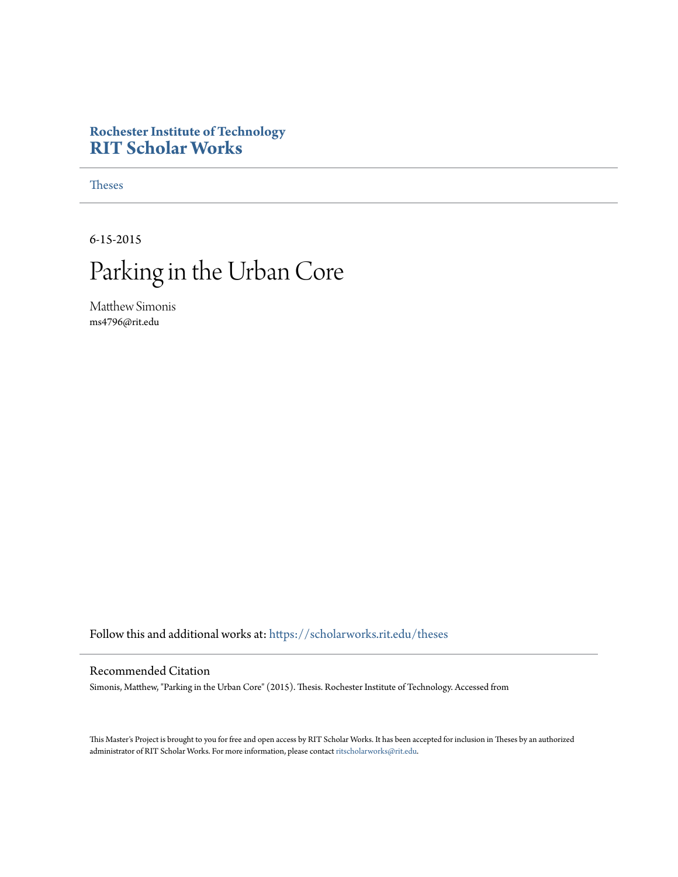#### **Rochester Institute of Technology [RIT Scholar Works](https://scholarworks.rit.edu?utm_source=scholarworks.rit.edu%2Ftheses%2F9369&utm_medium=PDF&utm_campaign=PDFCoverPages)**

[Theses](https://scholarworks.rit.edu/theses?utm_source=scholarworks.rit.edu%2Ftheses%2F9369&utm_medium=PDF&utm_campaign=PDFCoverPages)

6-15-2015

## Parking in the Urban Core

Matthew Simonis ms4796@rit.edu

Follow this and additional works at: [https://scholarworks.rit.edu/theses](https://scholarworks.rit.edu/theses?utm_source=scholarworks.rit.edu%2Ftheses%2F9369&utm_medium=PDF&utm_campaign=PDFCoverPages)

#### Recommended Citation

Simonis, Matthew, "Parking in the Urban Core" (2015). Thesis. Rochester Institute of Technology. Accessed from

This Master's Project is brought to you for free and open access by RIT Scholar Works. It has been accepted for inclusion in Theses by an authorized administrator of RIT Scholar Works. For more information, please contact [ritscholarworks@rit.edu.](mailto:ritscholarworks@rit.edu)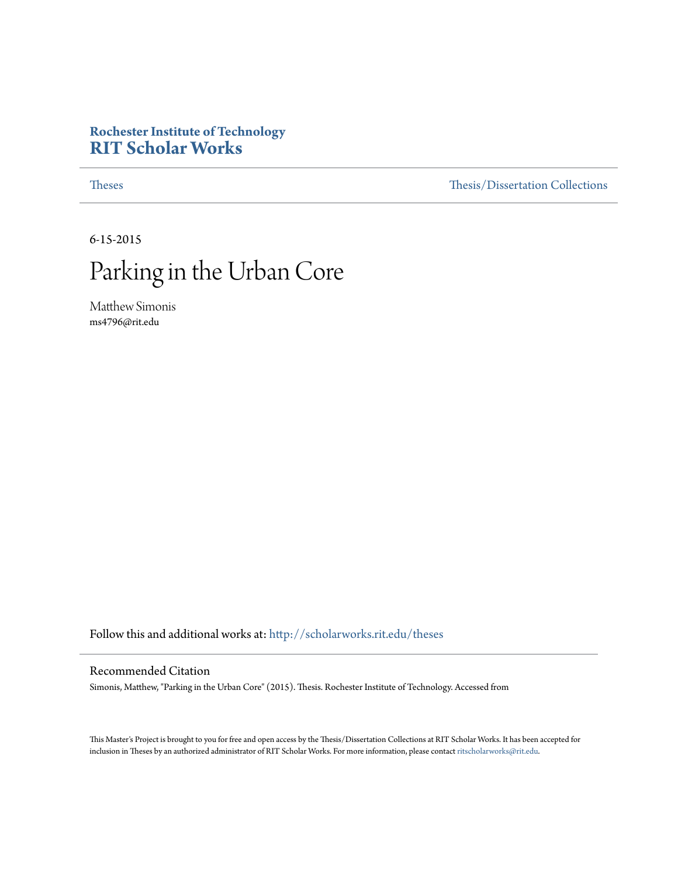#### **Rochester Institute of Technology [RIT Scholar Works](http://scholarworks.rit.edu?utm_source=scholarworks.rit.edu%2Ftheses%2F9369&utm_medium=PDF&utm_campaign=PDFCoverPages)**

[Theses](http://scholarworks.rit.edu/theses?utm_source=scholarworks.rit.edu%2Ftheses%2F9369&utm_medium=PDF&utm_campaign=PDFCoverPages) [Thesis/Dissertation Collections](http://scholarworks.rit.edu/etd_collections?utm_source=scholarworks.rit.edu%2Ftheses%2F9369&utm_medium=PDF&utm_campaign=PDFCoverPages)

6-15-2015

## Parking in the Urban Core

Matthew Simonis ms4796@rit.edu

Follow this and additional works at: [http://scholarworks.rit.edu/theses](http://scholarworks.rit.edu/theses?utm_source=scholarworks.rit.edu%2Ftheses%2F9369&utm_medium=PDF&utm_campaign=PDFCoverPages)

#### Recommended Citation

Simonis, Matthew, "Parking in the Urban Core" (2015). Thesis. Rochester Institute of Technology. Accessed from

This Master's Project is brought to you for free and open access by the Thesis/Dissertation Collections at RIT Scholar Works. It has been accepted for inclusion in Theses by an authorized administrator of RIT Scholar Works. For more information, please contact [ritscholarworks@rit.edu](mailto:ritscholarworks@rit.edu).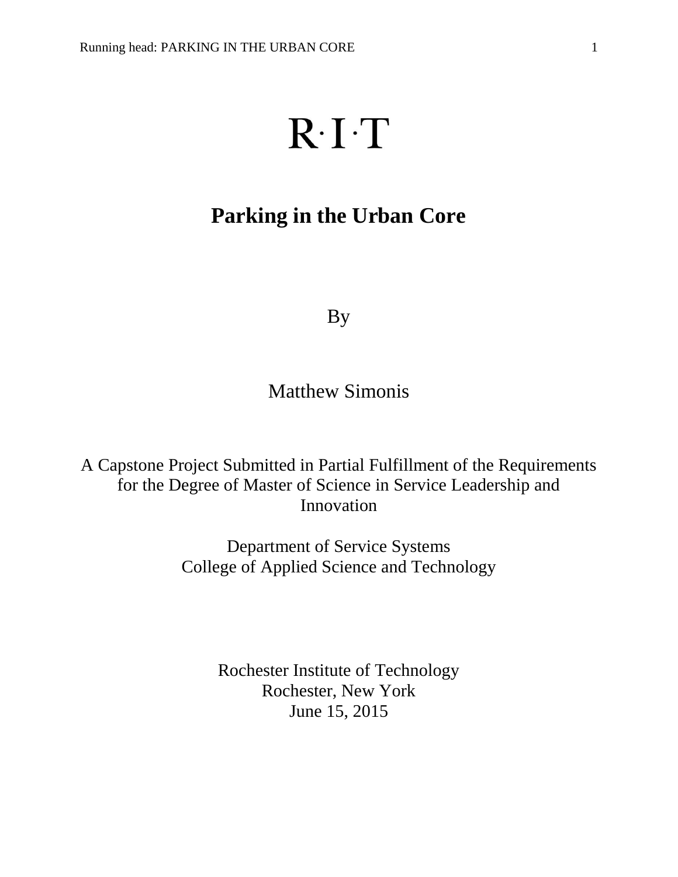# $R \cdot I \cdot T$

## **Parking in the Urban Core**

By

Matthew Simonis

A Capstone Project Submitted in Partial Fulfillment of the Requirements for the Degree of Master of Science in Service Leadership and Innovation

> Department of Service Systems College of Applied Science and Technology

> > Rochester Institute of Technology Rochester, New York June 15, 2015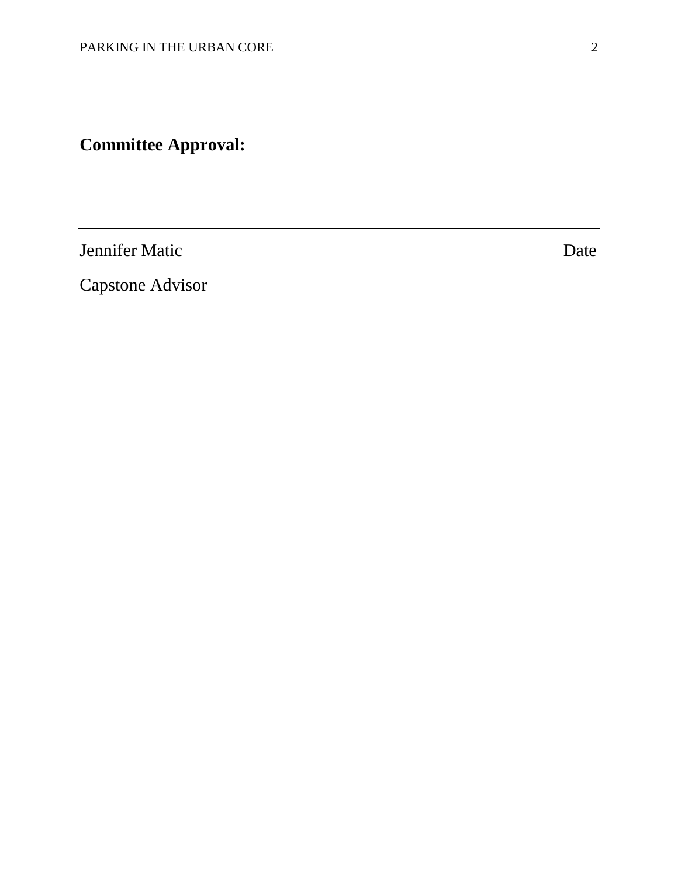**Committee Approval:**

Jennifer Matic Date

Capstone Advisor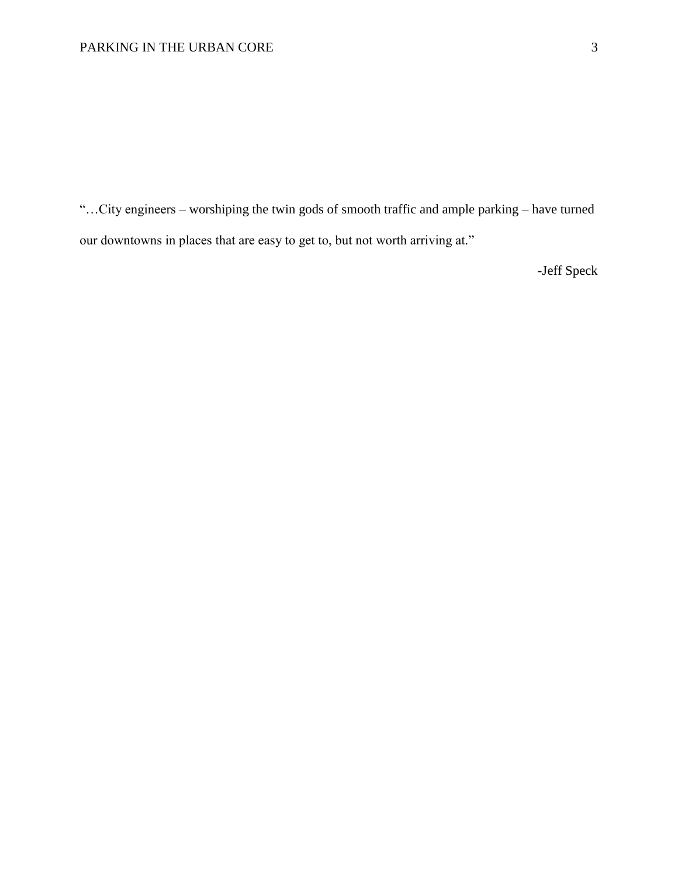"…City engineers – worshiping the twin gods of smooth traffic and ample parking – have turned our downtowns in places that are easy to get to, but not worth arriving at."

-Jeff Speck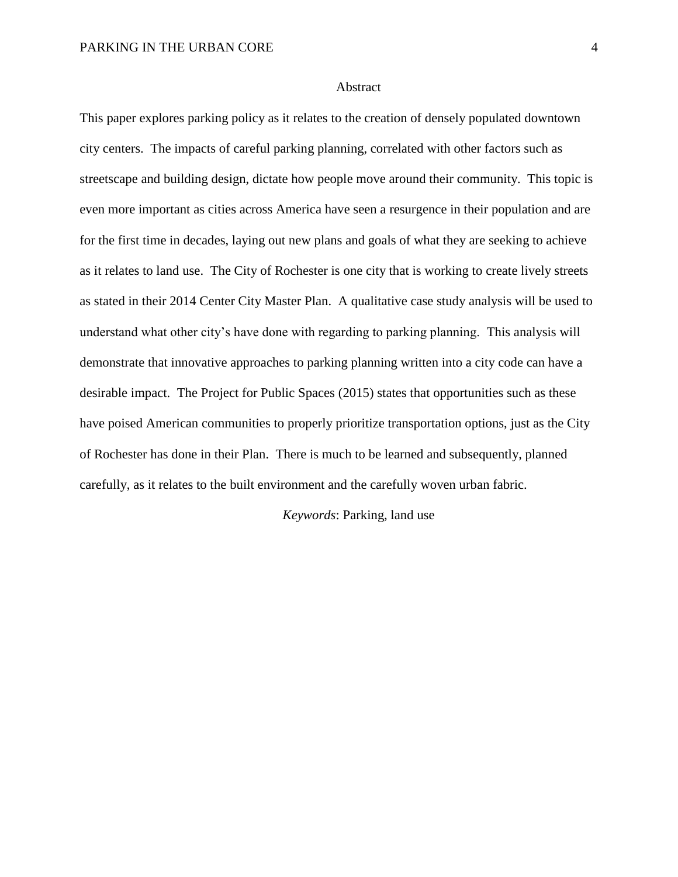#### Abstract

This paper explores parking policy as it relates to the creation of densely populated downtown city centers. The impacts of careful parking planning, correlated with other factors such as streetscape and building design, dictate how people move around their community. This topic is even more important as cities across America have seen a resurgence in their population and are for the first time in decades, laying out new plans and goals of what they are seeking to achieve as it relates to land use. The City of Rochester is one city that is working to create lively streets as stated in their 2014 Center City Master Plan. A qualitative case study analysis will be used to understand what other city's have done with regarding to parking planning. This analysis will demonstrate that innovative approaches to parking planning written into a city code can have a desirable impact. The Project for Public Spaces (2015) states that opportunities such as these have poised American communities to properly prioritize transportation options, just as the City of Rochester has done in their Plan. There is much to be learned and subsequently, planned carefully, as it relates to the built environment and the carefully woven urban fabric.

*Keywords*: Parking, land use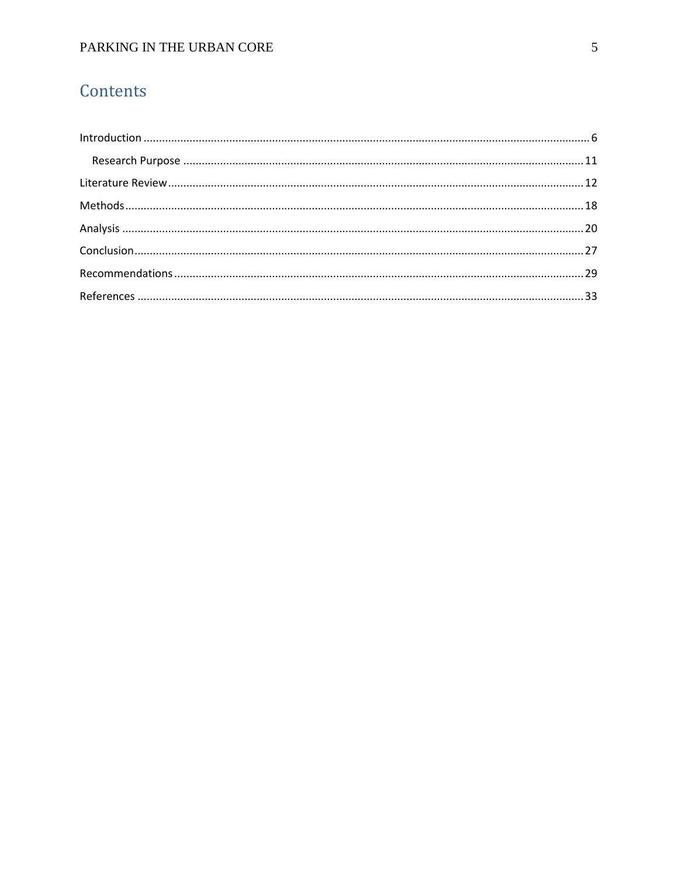## Contents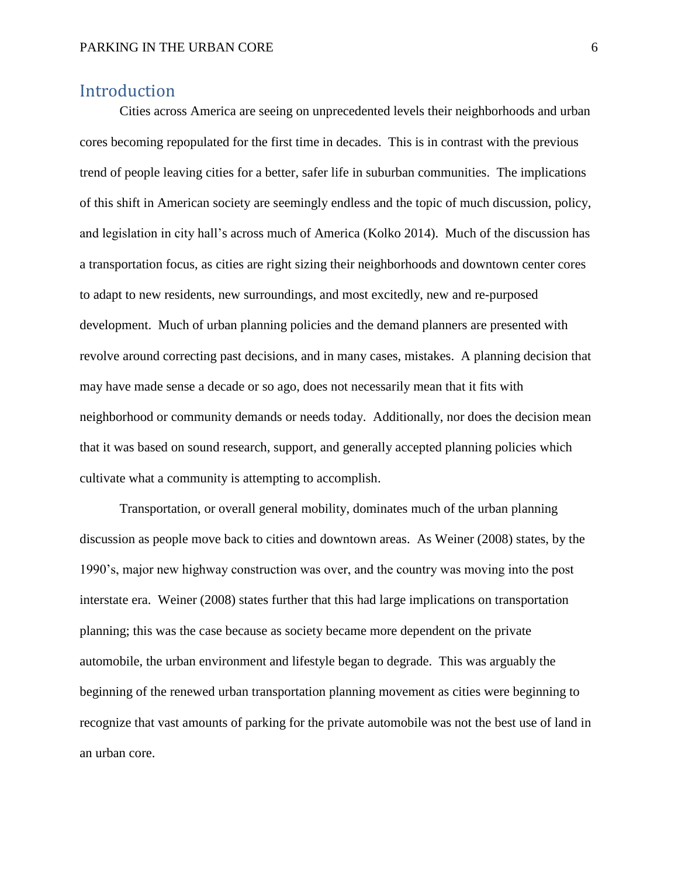#### <span id="page-7-0"></span>Introduction

Cities across America are seeing on unprecedented levels their neighborhoods and urban cores becoming repopulated for the first time in decades. This is in contrast with the previous trend of people leaving cities for a better, safer life in suburban communities. The implications of this shift in American society are seemingly endless and the topic of much discussion, policy, and legislation in city hall's across much of America (Kolko 2014). Much of the discussion has a transportation focus, as cities are right sizing their neighborhoods and downtown center cores to adapt to new residents, new surroundings, and most excitedly, new and re-purposed development. Much of urban planning policies and the demand planners are presented with revolve around correcting past decisions, and in many cases, mistakes. A planning decision that may have made sense a decade or so ago, does not necessarily mean that it fits with neighborhood or community demands or needs today. Additionally, nor does the decision mean that it was based on sound research, support, and generally accepted planning policies which cultivate what a community is attempting to accomplish.

Transportation, or overall general mobility, dominates much of the urban planning discussion as people move back to cities and downtown areas. As Weiner (2008) states, by the 1990's, major new highway construction was over, and the country was moving into the post interstate era. Weiner (2008) states further that this had large implications on transportation planning; this was the case because as society became more dependent on the private automobile, the urban environment and lifestyle began to degrade. This was arguably the beginning of the renewed urban transportation planning movement as cities were beginning to recognize that vast amounts of parking for the private automobile was not the best use of land in an urban core.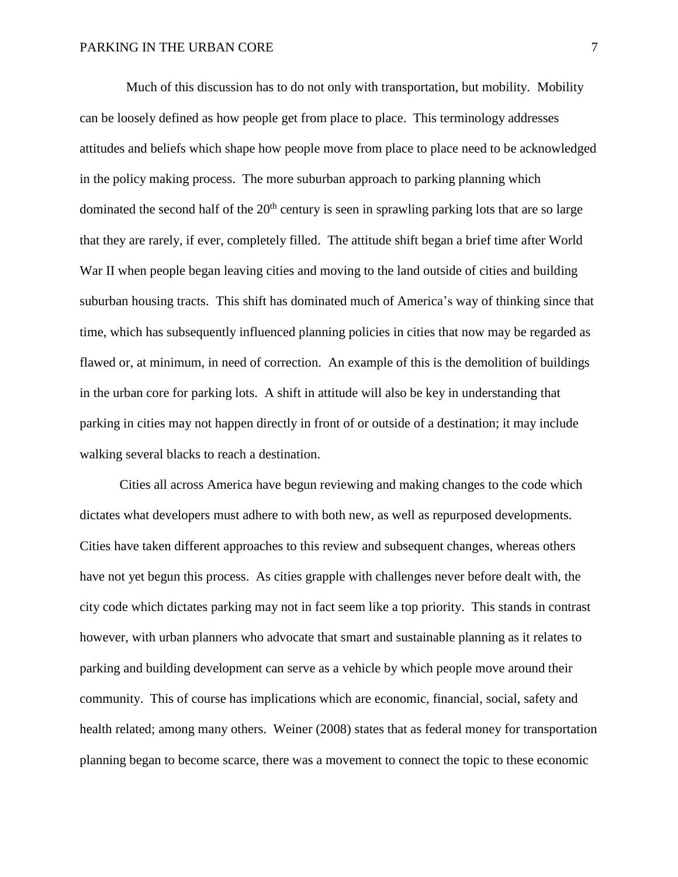Much of this discussion has to do not only with transportation, but mobility. Mobility can be loosely defined as how people get from place to place. This terminology addresses attitudes and beliefs which shape how people move from place to place need to be acknowledged in the policy making process. The more suburban approach to parking planning which dominated the second half of the  $20<sup>th</sup>$  century is seen in sprawling parking lots that are so large that they are rarely, if ever, completely filled. The attitude shift began a brief time after World War II when people began leaving cities and moving to the land outside of cities and building suburban housing tracts. This shift has dominated much of America's way of thinking since that time, which has subsequently influenced planning policies in cities that now may be regarded as flawed or, at minimum, in need of correction. An example of this is the demolition of buildings in the urban core for parking lots. A shift in attitude will also be key in understanding that parking in cities may not happen directly in front of or outside of a destination; it may include walking several blacks to reach a destination.

Cities all across America have begun reviewing and making changes to the code which dictates what developers must adhere to with both new, as well as repurposed developments. Cities have taken different approaches to this review and subsequent changes, whereas others have not yet begun this process. As cities grapple with challenges never before dealt with, the city code which dictates parking may not in fact seem like a top priority. This stands in contrast however, with urban planners who advocate that smart and sustainable planning as it relates to parking and building development can serve as a vehicle by which people move around their community. This of course has implications which are economic, financial, social, safety and health related; among many others. Weiner (2008) states that as federal money for transportation planning began to become scarce, there was a movement to connect the topic to these economic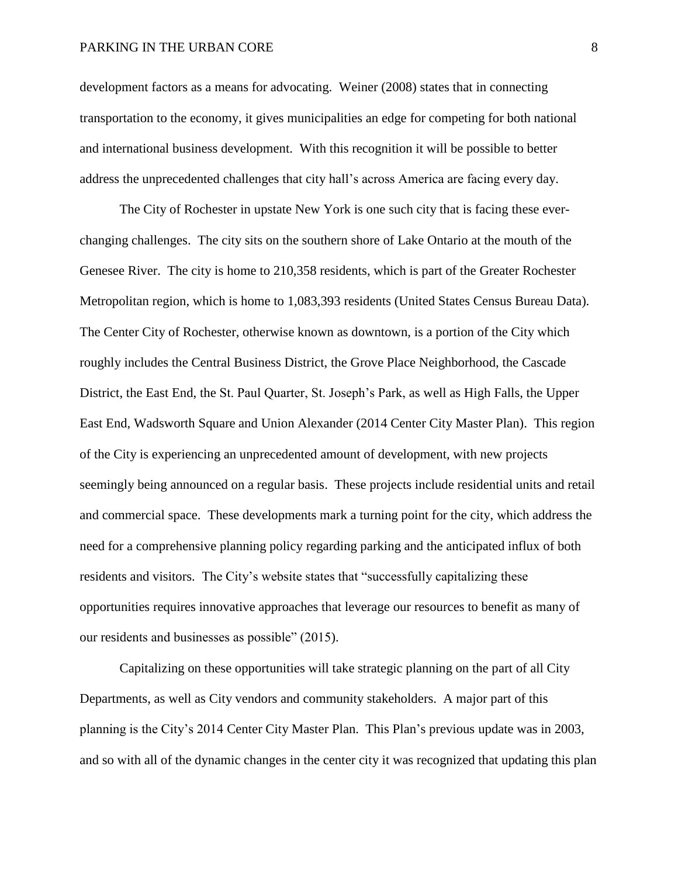development factors as a means for advocating. Weiner (2008) states that in connecting transportation to the economy, it gives municipalities an edge for competing for both national and international business development. With this recognition it will be possible to better address the unprecedented challenges that city hall's across America are facing every day.

The City of Rochester in upstate New York is one such city that is facing these everchanging challenges. The city sits on the southern shore of Lake Ontario at the mouth of the Genesee River. The city is home to 210,358 residents, which is part of the Greater Rochester Metropolitan region, which is home to 1,083,393 residents (United States Census Bureau Data). The Center City of Rochester, otherwise known as downtown, is a portion of the City which roughly includes the Central Business District, the Grove Place Neighborhood, the Cascade District, the East End, the St. Paul Quarter, St. Joseph's Park, as well as High Falls, the Upper East End, Wadsworth Square and Union Alexander (2014 Center City Master Plan). This region of the City is experiencing an unprecedented amount of development, with new projects seemingly being announced on a regular basis. These projects include residential units and retail and commercial space. These developments mark a turning point for the city, which address the need for a comprehensive planning policy regarding parking and the anticipated influx of both residents and visitors. The City's website states that "successfully capitalizing these opportunities requires innovative approaches that leverage our resources to benefit as many of our residents and businesses as possible" (2015).

Capitalizing on these opportunities will take strategic planning on the part of all City Departments, as well as City vendors and community stakeholders. A major part of this planning is the City's 2014 Center City Master Plan. This Plan's previous update was in 2003, and so with all of the dynamic changes in the center city it was recognized that updating this plan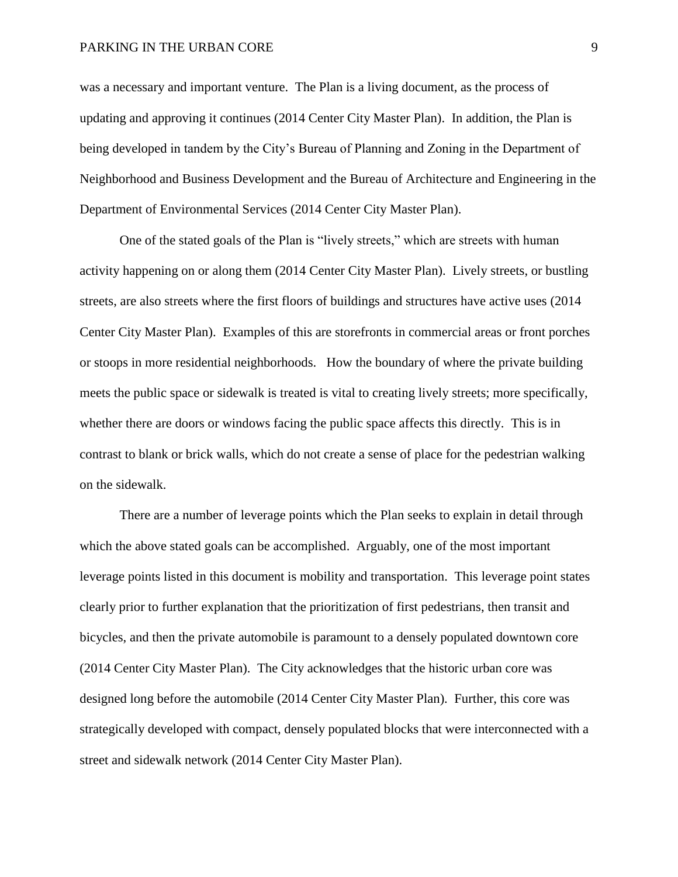was a necessary and important venture. The Plan is a living document, as the process of updating and approving it continues (2014 Center City Master Plan). In addition, the Plan is being developed in tandem by the City's Bureau of Planning and Zoning in the Department of Neighborhood and Business Development and the Bureau of Architecture and Engineering in the Department of Environmental Services (2014 Center City Master Plan).

One of the stated goals of the Plan is "lively streets," which are streets with human activity happening on or along them (2014 Center City Master Plan). Lively streets, or bustling streets, are also streets where the first floors of buildings and structures have active uses (2014 Center City Master Plan). Examples of this are storefronts in commercial areas or front porches or stoops in more residential neighborhoods. How the boundary of where the private building meets the public space or sidewalk is treated is vital to creating lively streets; more specifically, whether there are doors or windows facing the public space affects this directly. This is in contrast to blank or brick walls, which do not create a sense of place for the pedestrian walking on the sidewalk.

There are a number of leverage points which the Plan seeks to explain in detail through which the above stated goals can be accomplished. Arguably, one of the most important leverage points listed in this document is mobility and transportation. This leverage point states clearly prior to further explanation that the prioritization of first pedestrians, then transit and bicycles, and then the private automobile is paramount to a densely populated downtown core (2014 Center City Master Plan). The City acknowledges that the historic urban core was designed long before the automobile (2014 Center City Master Plan). Further, this core was strategically developed with compact, densely populated blocks that were interconnected with a street and sidewalk network (2014 Center City Master Plan).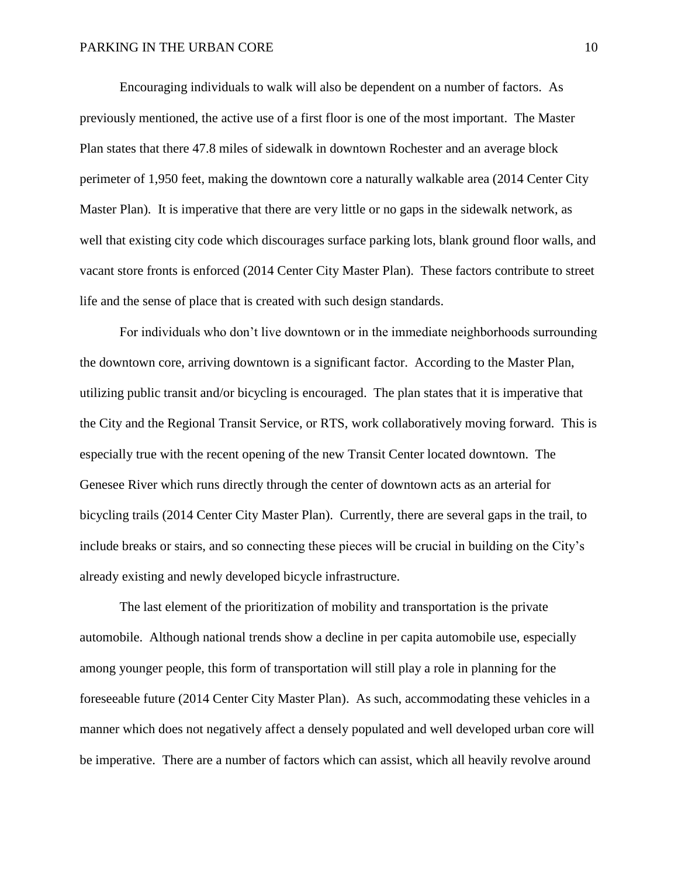Encouraging individuals to walk will also be dependent on a number of factors. As previously mentioned, the active use of a first floor is one of the most important. The Master Plan states that there 47.8 miles of sidewalk in downtown Rochester and an average block perimeter of 1,950 feet, making the downtown core a naturally walkable area (2014 Center City Master Plan). It is imperative that there are very little or no gaps in the sidewalk network, as well that existing city code which discourages surface parking lots, blank ground floor walls, and vacant store fronts is enforced (2014 Center City Master Plan). These factors contribute to street life and the sense of place that is created with such design standards.

For individuals who don't live downtown or in the immediate neighborhoods surrounding the downtown core, arriving downtown is a significant factor. According to the Master Plan, utilizing public transit and/or bicycling is encouraged. The plan states that it is imperative that the City and the Regional Transit Service, or RTS, work collaboratively moving forward. This is especially true with the recent opening of the new Transit Center located downtown. The Genesee River which runs directly through the center of downtown acts as an arterial for bicycling trails (2014 Center City Master Plan). Currently, there are several gaps in the trail, to include breaks or stairs, and so connecting these pieces will be crucial in building on the City's already existing and newly developed bicycle infrastructure.

The last element of the prioritization of mobility and transportation is the private automobile. Although national trends show a decline in per capita automobile use, especially among younger people, this form of transportation will still play a role in planning for the foreseeable future (2014 Center City Master Plan). As such, accommodating these vehicles in a manner which does not negatively affect a densely populated and well developed urban core will be imperative. There are a number of factors which can assist, which all heavily revolve around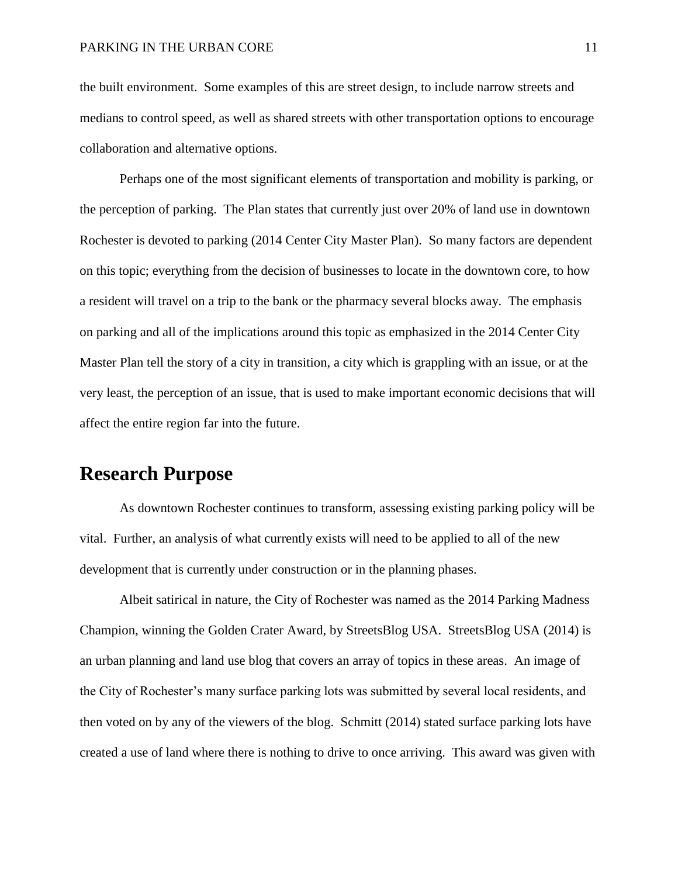the built environment. Some examples of this are street design, to include narrow streets and medians to control speed, as well as shared streets with other transportation options to encourage collaboration and alternative options.

Perhaps one of the most significant elements of transportation and mobility is parking, or the perception of parking. The Plan states that currently just over 20% of land use in downtown Rochester is devoted to parking (2014 Center City Master Plan). So many factors are dependent on this topic; everything from the decision of businesses to locate in the downtown core, to how a resident will travel on a trip to the bank or the pharmacy several blocks away. The emphasis on parking and all of the implications around this topic as emphasized in the 2014 Center City Master Plan tell the story of a city in transition, a city which is grappling with an issue, or at the very least, the perception of an issue, that is used to make important economic decisions that will affect the entire region far into the future.

### <span id="page-12-0"></span>**Research Purpose**

As downtown Rochester continues to transform, assessing existing parking policy will be vital. Further, an analysis of what currently exists will need to be applied to all of the new development that is currently under construction or in the planning phases.

Albeit satirical in nature, the City of Rochester was named as the 2014 Parking Madness Champion, winning the Golden Crater Award, by StreetsBlog USA. StreetsBlog USA (2014) is an urban planning and land use blog that covers an array of topics in these areas. An image of the City of Rochester's many surface parking lots was submitted by several local residents, and then voted on by any of the viewers of the blog. Schmitt (2014) stated surface parking lots have created a use of land where there is nothing to drive to once arriving. This award was given with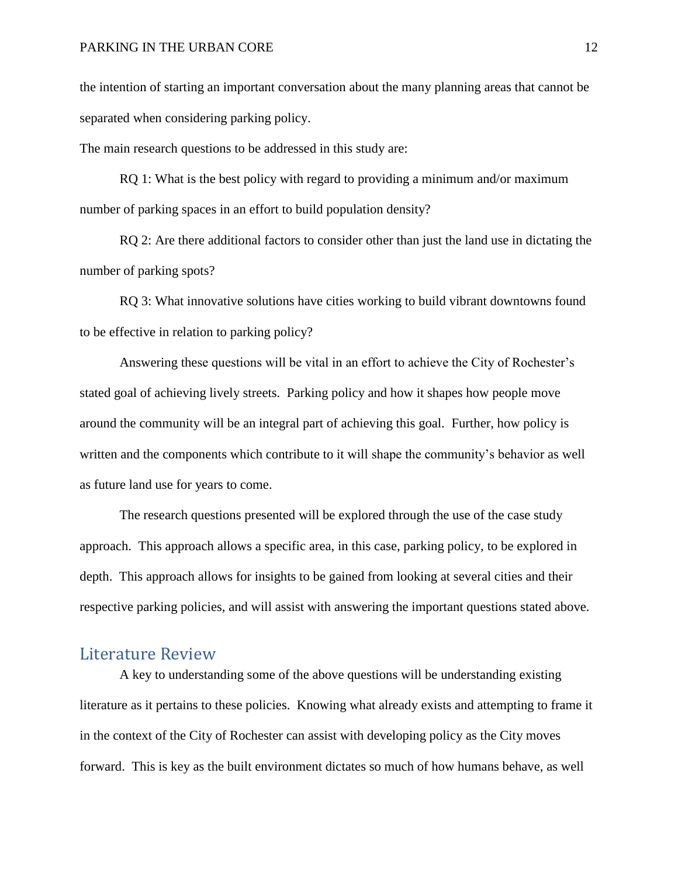the intention of starting an important conversation about the many planning areas that cannot be separated when considering parking policy.

The main research questions to be addressed in this study are:

RQ 1: What is the best policy with regard to providing a minimum and/or maximum number of parking spaces in an effort to build population density?

RQ 2: Are there additional factors to consider other than just the land use in dictating the number of parking spots?

RQ 3: What innovative solutions have cities working to build vibrant downtowns found to be effective in relation to parking policy?

Answering these questions will be vital in an effort to achieve the City of Rochester's stated goal of achieving lively streets. Parking policy and how it shapes how people move around the community will be an integral part of achieving this goal. Further, how policy is written and the components which contribute to it will shape the community's behavior as well as future land use for years to come.

The research questions presented will be explored through the use of the case study approach. This approach allows a specific area, in this case, parking policy, to be explored in depth. This approach allows for insights to be gained from looking at several cities and their respective parking policies, and will assist with answering the important questions stated above.

#### <span id="page-13-0"></span>Literature Review

A key to understanding some of the above questions will be understanding existing literature as it pertains to these policies. Knowing what already exists and attempting to frame it in the context of the City of Rochester can assist with developing policy as the City moves forward. This is key as the built environment dictates so much of how humans behave, as well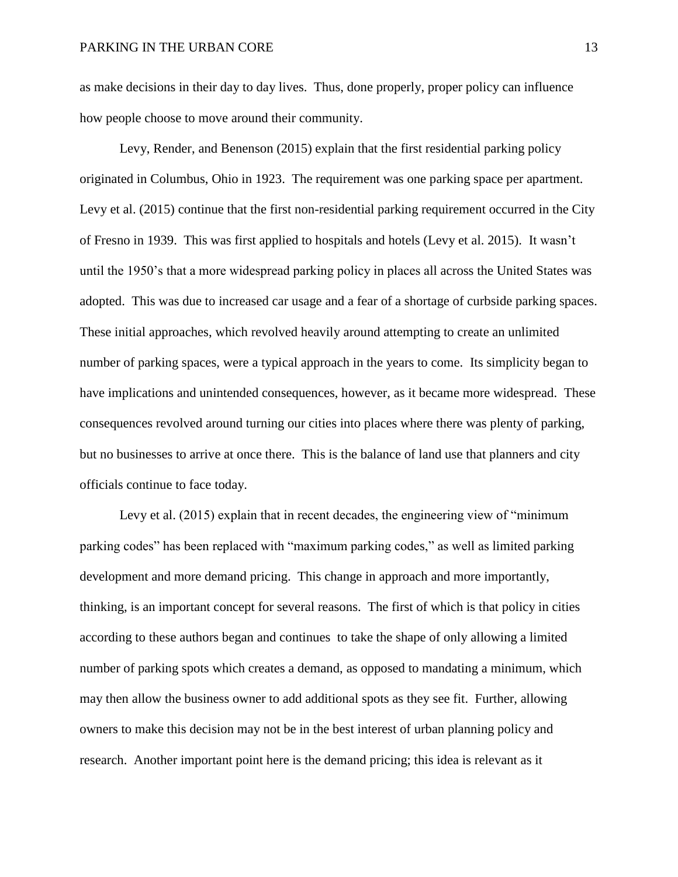as make decisions in their day to day lives. Thus, done properly, proper policy can influence how people choose to move around their community.

Levy, Render, and Benenson (2015) explain that the first residential parking policy originated in Columbus, Ohio in 1923. The requirement was one parking space per apartment. Levy et al. (2015) continue that the first non-residential parking requirement occurred in the City of Fresno in 1939. This was first applied to hospitals and hotels (Levy et al. 2015). It wasn't until the 1950's that a more widespread parking policy in places all across the United States was adopted. This was due to increased car usage and a fear of a shortage of curbside parking spaces. These initial approaches, which revolved heavily around attempting to create an unlimited number of parking spaces, were a typical approach in the years to come. Its simplicity began to have implications and unintended consequences, however, as it became more widespread. These consequences revolved around turning our cities into places where there was plenty of parking, but no businesses to arrive at once there. This is the balance of land use that planners and city officials continue to face today.

Levy et al. (2015) explain that in recent decades, the engineering view of "minimum parking codes" has been replaced with "maximum parking codes," as well as limited parking development and more demand pricing. This change in approach and more importantly, thinking, is an important concept for several reasons. The first of which is that policy in cities according to these authors began and continues to take the shape of only allowing a limited number of parking spots which creates a demand, as opposed to mandating a minimum, which may then allow the business owner to add additional spots as they see fit. Further, allowing owners to make this decision may not be in the best interest of urban planning policy and research. Another important point here is the demand pricing; this idea is relevant as it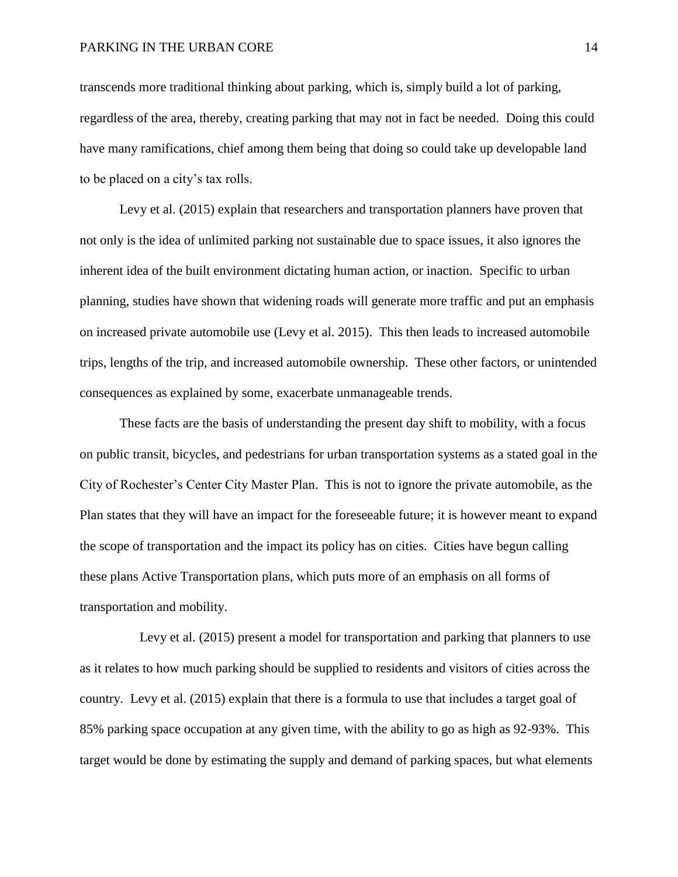transcends more traditional thinking about parking, which is, simply build a lot of parking, regardless of the area, thereby, creating parking that may not in fact be needed. Doing this could have many ramifications, chief among them being that doing so could take up developable land to be placed on a city's tax rolls.

Levy et al. (2015) explain that researchers and transportation planners have proven that not only is the idea of unlimited parking not sustainable due to space issues, it also ignores the inherent idea of the built environment dictating human action, or inaction. Specific to urban planning, studies have shown that widening roads will generate more traffic and put an emphasis on increased private automobile use (Levy et al. 2015). This then leads to increased automobile trips, lengths of the trip, and increased automobile ownership. These other factors, or unintended consequences as explained by some, exacerbate unmanageable trends.

These facts are the basis of understanding the present day shift to mobility, with a focus on public transit, bicycles, and pedestrians for urban transportation systems as a stated goal in the City of Rochester's Center City Master Plan. This is not to ignore the private automobile, as the Plan states that they will have an impact for the foreseeable future; it is however meant to expand the scope of transportation and the impact its policy has on cities. Cities have begun calling these plans Active Transportation plans, which puts more of an emphasis on all forms of transportation and mobility.

 Levy et al. (2015) present a model for transportation and parking that planners to use as it relates to how much parking should be supplied to residents and visitors of cities across the country. Levy et al. (2015) explain that there is a formula to use that includes a target goal of 85% parking space occupation at any given time, with the ability to go as high as 92-93%. This target would be done by estimating the supply and demand of parking spaces, but what elements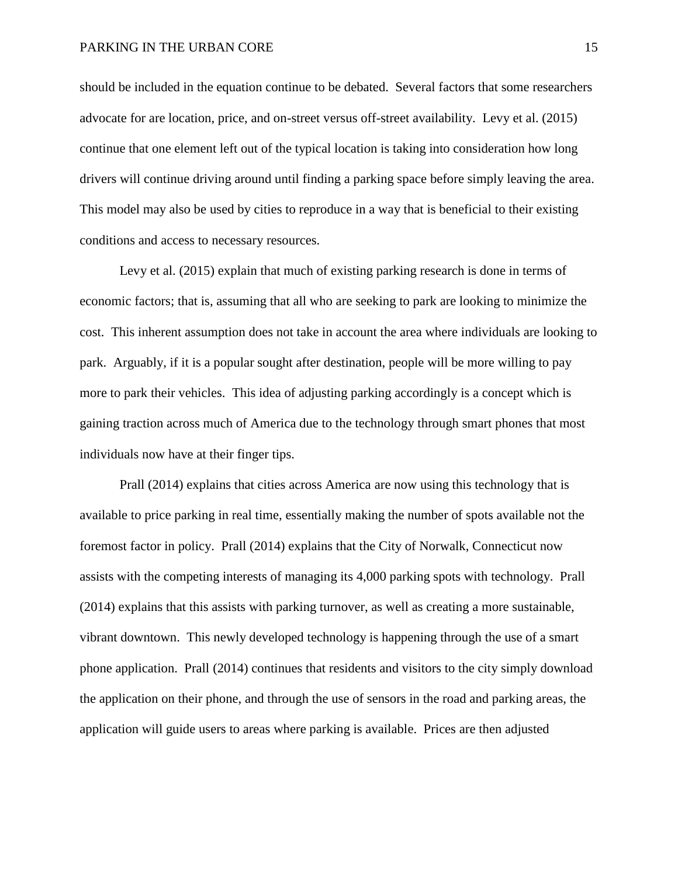should be included in the equation continue to be debated. Several factors that some researchers advocate for are location, price, and on-street versus off-street availability. Levy et al. (2015) continue that one element left out of the typical location is taking into consideration how long drivers will continue driving around until finding a parking space before simply leaving the area. This model may also be used by cities to reproduce in a way that is beneficial to their existing conditions and access to necessary resources.

Levy et al. (2015) explain that much of existing parking research is done in terms of economic factors; that is, assuming that all who are seeking to park are looking to minimize the cost. This inherent assumption does not take in account the area where individuals are looking to park. Arguably, if it is a popular sought after destination, people will be more willing to pay more to park their vehicles. This idea of adjusting parking accordingly is a concept which is gaining traction across much of America due to the technology through smart phones that most individuals now have at their finger tips.

Prall (2014) explains that cities across America are now using this technology that is available to price parking in real time, essentially making the number of spots available not the foremost factor in policy. Prall (2014) explains that the City of Norwalk, Connecticut now assists with the competing interests of managing its 4,000 parking spots with technology. Prall (2014) explains that this assists with parking turnover, as well as creating a more sustainable, vibrant downtown. This newly developed technology is happening through the use of a smart phone application. Prall (2014) continues that residents and visitors to the city simply download the application on their phone, and through the use of sensors in the road and parking areas, the application will guide users to areas where parking is available. Prices are then adjusted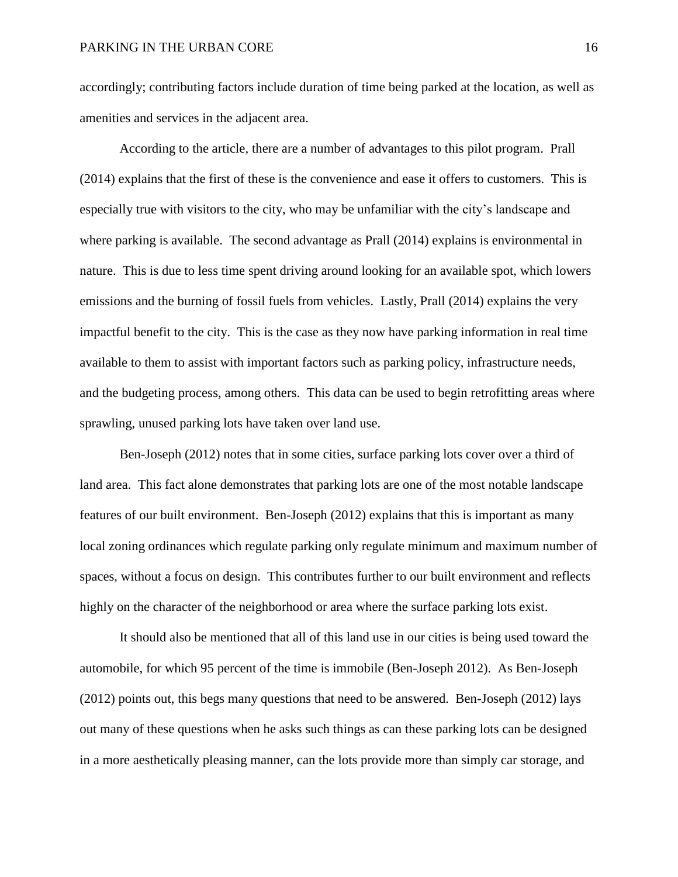accordingly; contributing factors include duration of time being parked at the location, as well as amenities and services in the adjacent area.

According to the article, there are a number of advantages to this pilot program. Prall (2014) explains that the first of these is the convenience and ease it offers to customers. This is especially true with visitors to the city, who may be unfamiliar with the city's landscape and where parking is available. The second advantage as Prall (2014) explains is environmental in nature. This is due to less time spent driving around looking for an available spot, which lowers emissions and the burning of fossil fuels from vehicles. Lastly, Prall (2014) explains the very impactful benefit to the city. This is the case as they now have parking information in real time available to them to assist with important factors such as parking policy, infrastructure needs, and the budgeting process, among others. This data can be used to begin retrofitting areas where sprawling, unused parking lots have taken over land use.

Ben-Joseph (2012) notes that in some cities, surface parking lots cover over a third of land area. This fact alone demonstrates that parking lots are one of the most notable landscape features of our built environment. Ben-Joseph (2012) explains that this is important as many local zoning ordinances which regulate parking only regulate minimum and maximum number of spaces, without a focus on design. This contributes further to our built environment and reflects highly on the character of the neighborhood or area where the surface parking lots exist.

It should also be mentioned that all of this land use in our cities is being used toward the automobile, for which 95 percent of the time is immobile (Ben-Joseph 2012). As Ben-Joseph (2012) points out, this begs many questions that need to be answered. Ben-Joseph (2012) lays out many of these questions when he asks such things as can these parking lots can be designed in a more aesthetically pleasing manner, can the lots provide more than simply car storage, and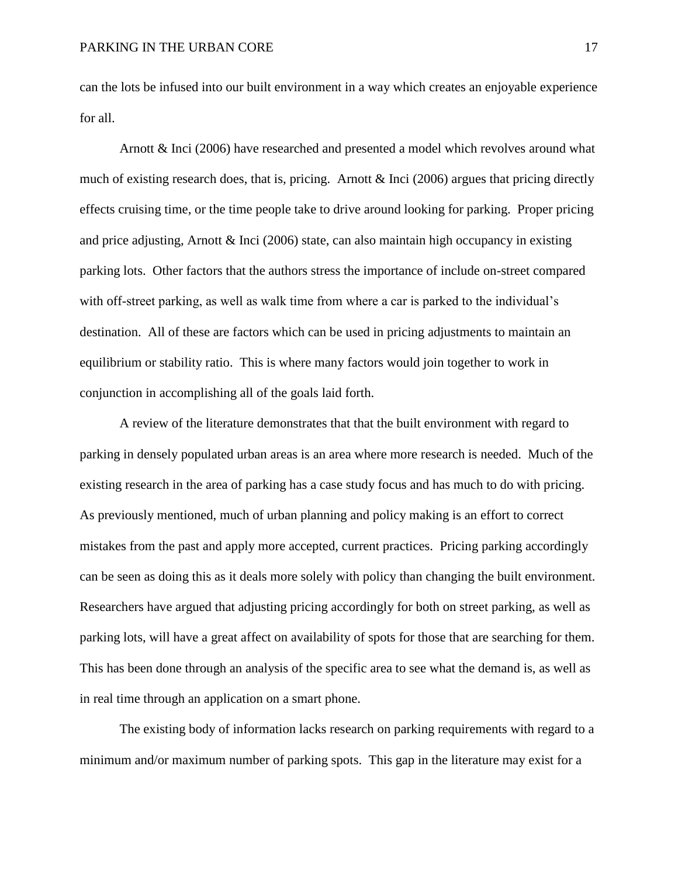can the lots be infused into our built environment in a way which creates an enjoyable experience for all.

Arnott & Inci (2006) have researched and presented a model which revolves around what much of existing research does, that is, pricing. Arnott & Inci (2006) argues that pricing directly effects cruising time, or the time people take to drive around looking for parking. Proper pricing and price adjusting, Arnott & Inci (2006) state, can also maintain high occupancy in existing parking lots. Other factors that the authors stress the importance of include on-street compared with off-street parking, as well as walk time from where a car is parked to the individual's destination. All of these are factors which can be used in pricing adjustments to maintain an equilibrium or stability ratio. This is where many factors would join together to work in conjunction in accomplishing all of the goals laid forth.

A review of the literature demonstrates that that the built environment with regard to parking in densely populated urban areas is an area where more research is needed. Much of the existing research in the area of parking has a case study focus and has much to do with pricing. As previously mentioned, much of urban planning and policy making is an effort to correct mistakes from the past and apply more accepted, current practices. Pricing parking accordingly can be seen as doing this as it deals more solely with policy than changing the built environment. Researchers have argued that adjusting pricing accordingly for both on street parking, as well as parking lots, will have a great affect on availability of spots for those that are searching for them. This has been done through an analysis of the specific area to see what the demand is, as well as in real time through an application on a smart phone.

The existing body of information lacks research on parking requirements with regard to a minimum and/or maximum number of parking spots. This gap in the literature may exist for a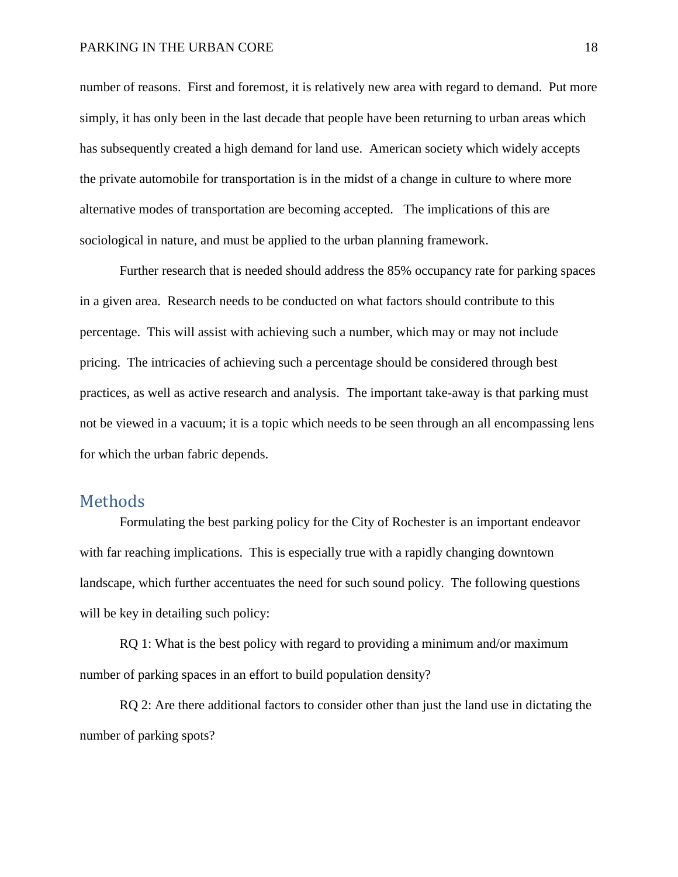number of reasons. First and foremost, it is relatively new area with regard to demand. Put more simply, it has only been in the last decade that people have been returning to urban areas which has subsequently created a high demand for land use. American society which widely accepts the private automobile for transportation is in the midst of a change in culture to where more alternative modes of transportation are becoming accepted. The implications of this are sociological in nature, and must be applied to the urban planning framework.

Further research that is needed should address the 85% occupancy rate for parking spaces in a given area. Research needs to be conducted on what factors should contribute to this percentage. This will assist with achieving such a number, which may or may not include pricing. The intricacies of achieving such a percentage should be considered through best practices, as well as active research and analysis. The important take-away is that parking must not be viewed in a vacuum; it is a topic which needs to be seen through an all encompassing lens for which the urban fabric depends.

#### <span id="page-19-0"></span>**Methods**

Formulating the best parking policy for the City of Rochester is an important endeavor with far reaching implications. This is especially true with a rapidly changing downtown landscape, which further accentuates the need for such sound policy. The following questions will be key in detailing such policy:

RQ 1: What is the best policy with regard to providing a minimum and/or maximum number of parking spaces in an effort to build population density?

RQ 2: Are there additional factors to consider other than just the land use in dictating the number of parking spots?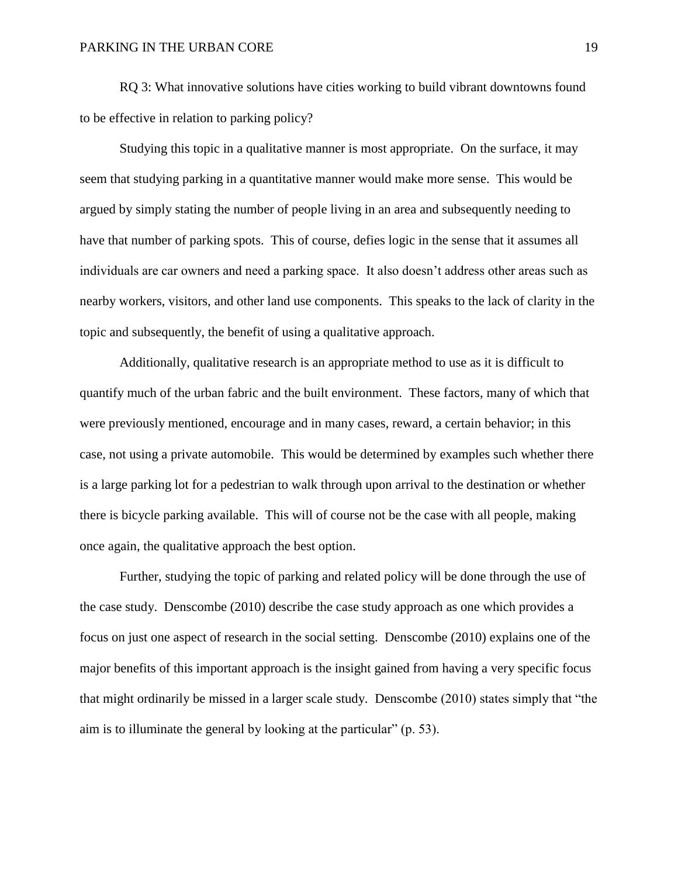RQ 3: What innovative solutions have cities working to build vibrant downtowns found to be effective in relation to parking policy?

Studying this topic in a qualitative manner is most appropriate. On the surface, it may seem that studying parking in a quantitative manner would make more sense. This would be argued by simply stating the number of people living in an area and subsequently needing to have that number of parking spots. This of course, defies logic in the sense that it assumes all individuals are car owners and need a parking space. It also doesn't address other areas such as nearby workers, visitors, and other land use components. This speaks to the lack of clarity in the topic and subsequently, the benefit of using a qualitative approach.

Additionally, qualitative research is an appropriate method to use as it is difficult to quantify much of the urban fabric and the built environment. These factors, many of which that were previously mentioned, encourage and in many cases, reward, a certain behavior; in this case, not using a private automobile. This would be determined by examples such whether there is a large parking lot for a pedestrian to walk through upon arrival to the destination or whether there is bicycle parking available. This will of course not be the case with all people, making once again, the qualitative approach the best option.

Further, studying the topic of parking and related policy will be done through the use of the case study. Denscombe (2010) describe the case study approach as one which provides a focus on just one aspect of research in the social setting. Denscombe (2010) explains one of the major benefits of this important approach is the insight gained from having a very specific focus that might ordinarily be missed in a larger scale study. Denscombe (2010) states simply that "the aim is to illuminate the general by looking at the particular" (p. 53).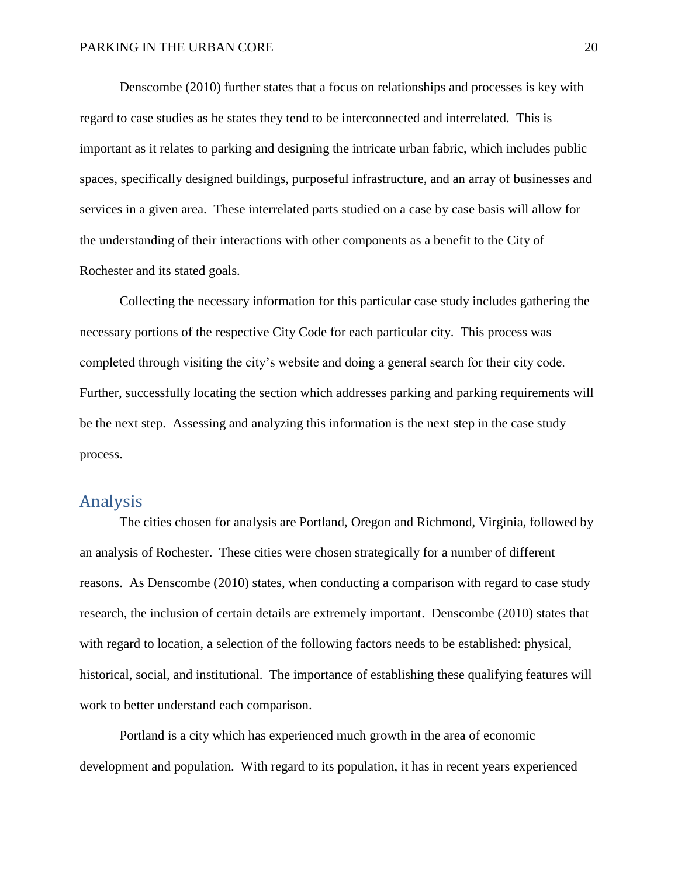Denscombe (2010) further states that a focus on relationships and processes is key with regard to case studies as he states they tend to be interconnected and interrelated. This is important as it relates to parking and designing the intricate urban fabric, which includes public spaces, specifically designed buildings, purposeful infrastructure, and an array of businesses and services in a given area. These interrelated parts studied on a case by case basis will allow for the understanding of their interactions with other components as a benefit to the City of Rochester and its stated goals.

Collecting the necessary information for this particular case study includes gathering the necessary portions of the respective City Code for each particular city. This process was completed through visiting the city's website and doing a general search for their city code. Further, successfully locating the section which addresses parking and parking requirements will be the next step. Assessing and analyzing this information is the next step in the case study process.

#### <span id="page-21-0"></span>Analysis

The cities chosen for analysis are Portland, Oregon and Richmond, Virginia, followed by an analysis of Rochester. These cities were chosen strategically for a number of different reasons. As Denscombe (2010) states, when conducting a comparison with regard to case study research, the inclusion of certain details are extremely important. Denscombe (2010) states that with regard to location, a selection of the following factors needs to be established: physical, historical, social, and institutional. The importance of establishing these qualifying features will work to better understand each comparison.

Portland is a city which has experienced much growth in the area of economic development and population. With regard to its population, it has in recent years experienced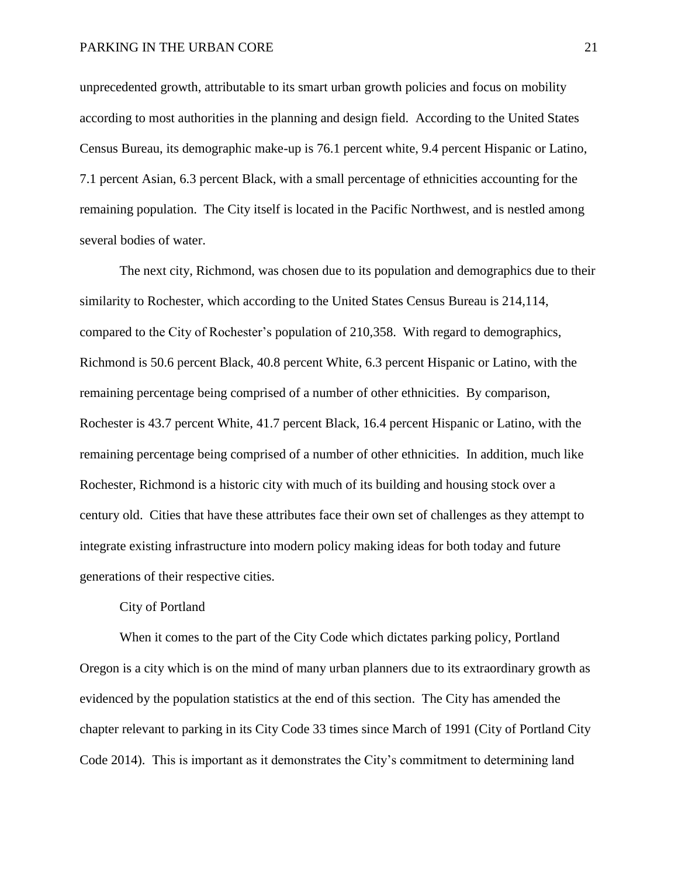unprecedented growth, attributable to its smart urban growth policies and focus on mobility according to most authorities in the planning and design field. According to the United States Census Bureau, its demographic make-up is 76.1 percent white, 9.4 percent Hispanic or Latino, 7.1 percent Asian, 6.3 percent Black, with a small percentage of ethnicities accounting for the remaining population. The City itself is located in the Pacific Northwest, and is nestled among several bodies of water.

The next city, Richmond, was chosen due to its population and demographics due to their similarity to Rochester, which according to the United States Census Bureau is 214,114, compared to the City of Rochester's population of 210,358. With regard to demographics, Richmond is 50.6 percent Black, 40.8 percent White, 6.3 percent Hispanic or Latino, with the remaining percentage being comprised of a number of other ethnicities. By comparison, Rochester is 43.7 percent White, 41.7 percent Black, 16.4 percent Hispanic or Latino, with the remaining percentage being comprised of a number of other ethnicities. In addition, much like Rochester, Richmond is a historic city with much of its building and housing stock over a century old. Cities that have these attributes face their own set of challenges as they attempt to integrate existing infrastructure into modern policy making ideas for both today and future generations of their respective cities.

#### City of Portland

When it comes to the part of the City Code which dictates parking policy, Portland Oregon is a city which is on the mind of many urban planners due to its extraordinary growth as evidenced by the population statistics at the end of this section. The City has amended the chapter relevant to parking in its City Code 33 times since March of 1991 (City of Portland City Code 2014). This is important as it demonstrates the City's commitment to determining land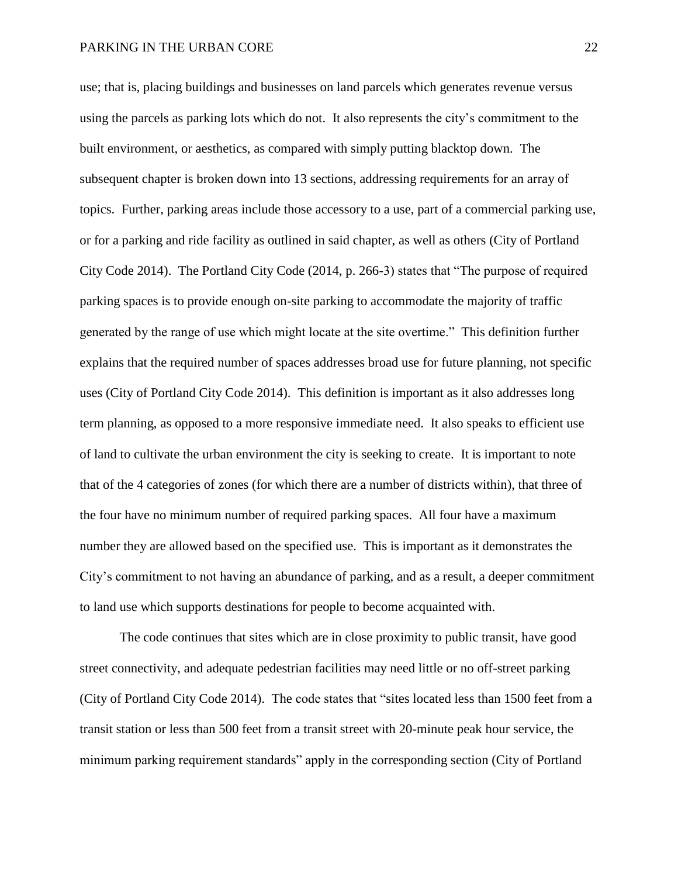use; that is, placing buildings and businesses on land parcels which generates revenue versus using the parcels as parking lots which do not. It also represents the city's commitment to the built environment, or aesthetics, as compared with simply putting blacktop down. The subsequent chapter is broken down into 13 sections, addressing requirements for an array of topics. Further, parking areas include those accessory to a use, part of a commercial parking use, or for a parking and ride facility as outlined in said chapter, as well as others (City of Portland City Code 2014). The Portland City Code (2014, p. 266-3) states that "The purpose of required parking spaces is to provide enough on-site parking to accommodate the majority of traffic generated by the range of use which might locate at the site overtime." This definition further explains that the required number of spaces addresses broad use for future planning, not specific uses (City of Portland City Code 2014). This definition is important as it also addresses long term planning, as opposed to a more responsive immediate need. It also speaks to efficient use of land to cultivate the urban environment the city is seeking to create. It is important to note that of the 4 categories of zones (for which there are a number of districts within), that three of the four have no minimum number of required parking spaces. All four have a maximum number they are allowed based on the specified use. This is important as it demonstrates the City's commitment to not having an abundance of parking, and as a result, a deeper commitment to land use which supports destinations for people to become acquainted with.

The code continues that sites which are in close proximity to public transit, have good street connectivity, and adequate pedestrian facilities may need little or no off-street parking (City of Portland City Code 2014). The code states that "sites located less than 1500 feet from a transit station or less than 500 feet from a transit street with 20-minute peak hour service, the minimum parking requirement standards" apply in the corresponding section (City of Portland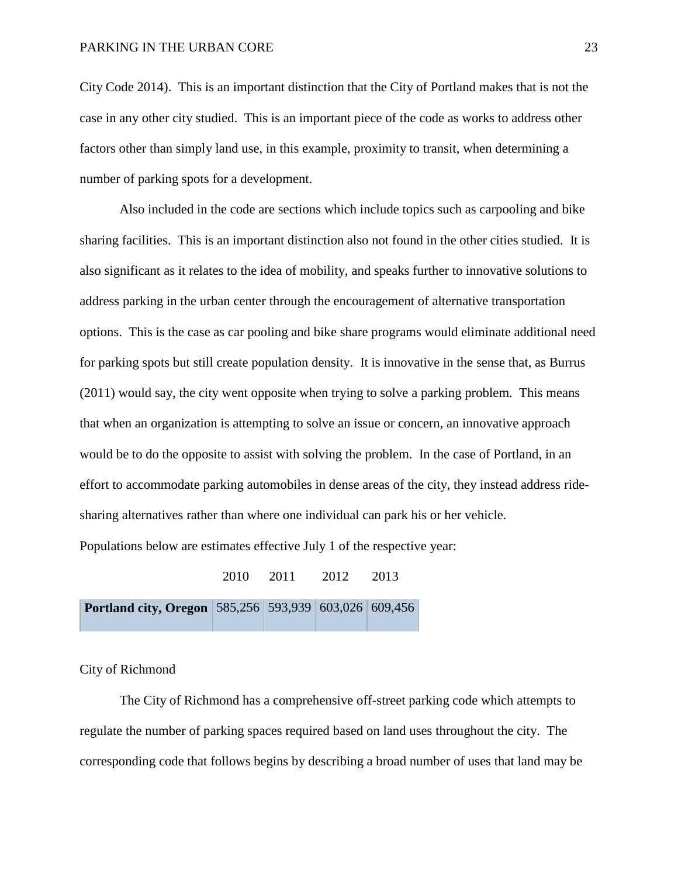City Code 2014). This is an important distinction that the City of Portland makes that is not the case in any other city studied. This is an important piece of the code as works to address other factors other than simply land use, in this example, proximity to transit, when determining a number of parking spots for a development.

Also included in the code are sections which include topics such as carpooling and bike sharing facilities. This is an important distinction also not found in the other cities studied. It is also significant as it relates to the idea of mobility, and speaks further to innovative solutions to address parking in the urban center through the encouragement of alternative transportation options. This is the case as car pooling and bike share programs would eliminate additional need for parking spots but still create population density. It is innovative in the sense that, as Burrus (2011) would say, the city went opposite when trying to solve a parking problem. This means that when an organization is attempting to solve an issue or concern, an innovative approach would be to do the opposite to assist with solving the problem. In the case of Portland, in an effort to accommodate parking automobiles in dense areas of the city, they instead address ridesharing alternatives rather than where one individual can park his or her vehicle. Populations below are estimates effective July 1 of the respective year:

 2010 2011 2012 2013 **Portland city, Oregon** 585,256 593,939 603,026 609,456

City of Richmond

The City of Richmond has a comprehensive off-street parking code which attempts to regulate the number of parking spaces required based on land uses throughout the city. The corresponding code that follows begins by describing a broad number of uses that land may be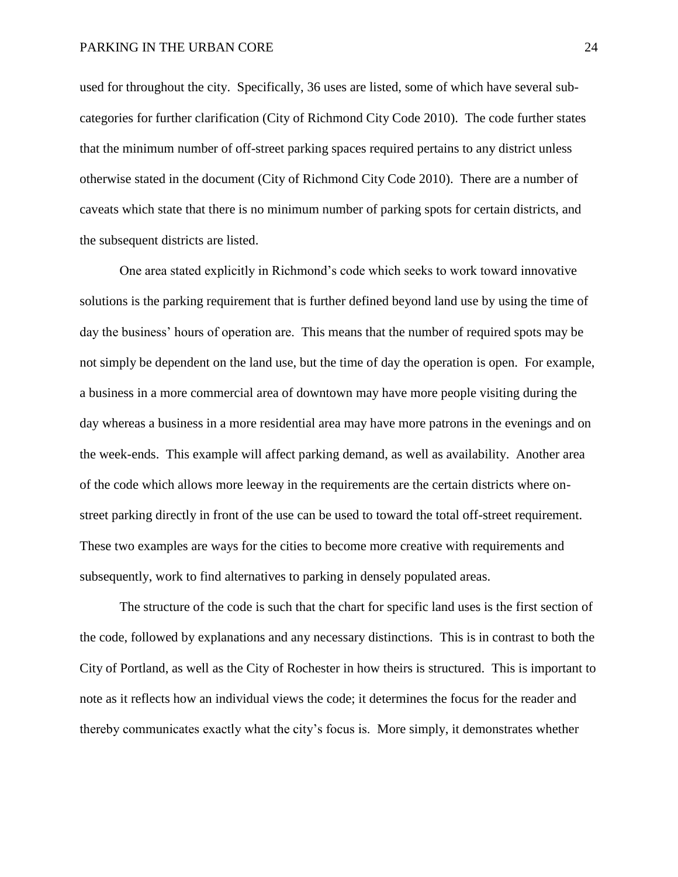used for throughout the city. Specifically, 36 uses are listed, some of which have several subcategories for further clarification (City of Richmond City Code 2010). The code further states that the minimum number of off-street parking spaces required pertains to any district unless otherwise stated in the document (City of Richmond City Code 2010). There are a number of caveats which state that there is no minimum number of parking spots for certain districts, and the subsequent districts are listed.

One area stated explicitly in Richmond's code which seeks to work toward innovative solutions is the parking requirement that is further defined beyond land use by using the time of day the business' hours of operation are. This means that the number of required spots may be not simply be dependent on the land use, but the time of day the operation is open. For example, a business in a more commercial area of downtown may have more people visiting during the day whereas a business in a more residential area may have more patrons in the evenings and on the week-ends. This example will affect parking demand, as well as availability. Another area of the code which allows more leeway in the requirements are the certain districts where onstreet parking directly in front of the use can be used to toward the total off-street requirement. These two examples are ways for the cities to become more creative with requirements and subsequently, work to find alternatives to parking in densely populated areas.

The structure of the code is such that the chart for specific land uses is the first section of the code, followed by explanations and any necessary distinctions. This is in contrast to both the City of Portland, as well as the City of Rochester in how theirs is structured. This is important to note as it reflects how an individual views the code; it determines the focus for the reader and thereby communicates exactly what the city's focus is. More simply, it demonstrates whether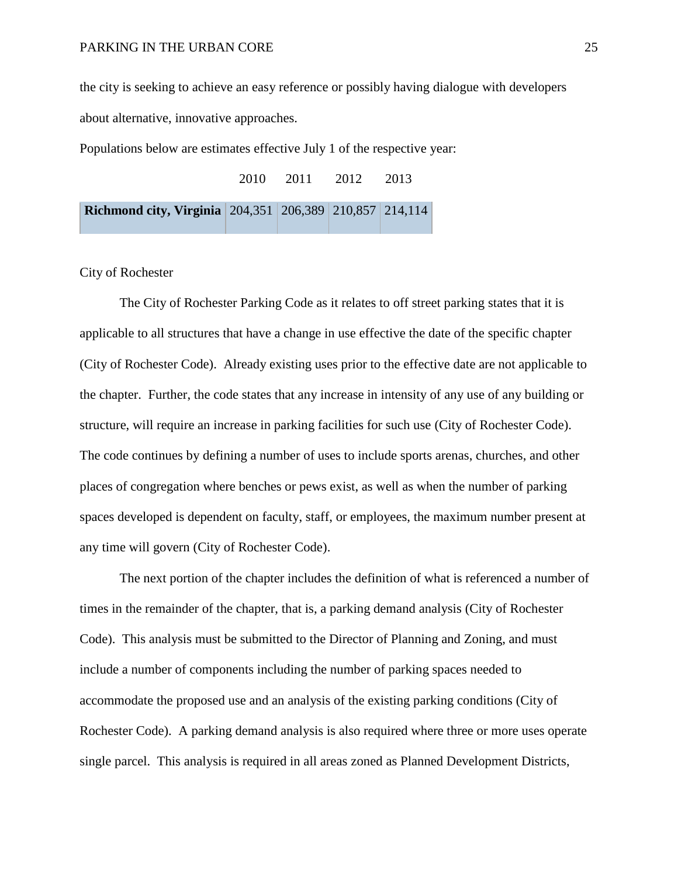the city is seeking to achieve an easy reference or possibly having dialogue with developers about alternative, innovative approaches.

Populations below are estimates effective July 1 of the respective year:

|                                                                | 2010 2011 2012 2013 |  |
|----------------------------------------------------------------|---------------------|--|
| <b>Richmond city, Virginia</b> 204,351 206,389 210,857 214,114 |                     |  |

City of Rochester

The City of Rochester Parking Code as it relates to off street parking states that it is applicable to all structures that have a change in use effective the date of the specific chapter (City of Rochester Code). Already existing uses prior to the effective date are not applicable to the chapter. Further, the code states that any increase in intensity of any use of any building or structure, will require an increase in parking facilities for such use (City of Rochester Code). The code continues by defining a number of uses to include sports arenas, churches, and other places of congregation where benches or pews exist, as well as when the number of parking spaces developed is dependent on faculty, staff, or employees, the maximum number present at any time will govern (City of Rochester Code).

The next portion of the chapter includes the definition of what is referenced a number of times in the remainder of the chapter, that is, a parking demand analysis (City of Rochester Code). This analysis must be submitted to the Director of Planning and Zoning, and must include a number of components including the number of parking spaces needed to accommodate the proposed use and an analysis of the existing parking conditions (City of Rochester Code). A parking demand analysis is also required where three or more uses operate single parcel. This analysis is required in all areas zoned as Planned Development Districts,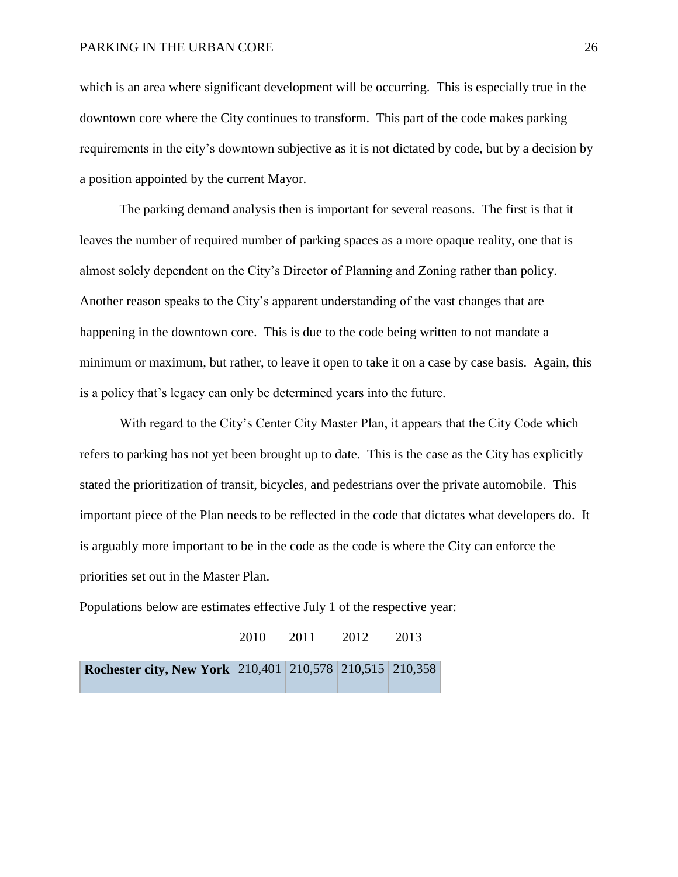which is an area where significant development will be occurring. This is especially true in the downtown core where the City continues to transform. This part of the code makes parking requirements in the city's downtown subjective as it is not dictated by code, but by a decision by a position appointed by the current Mayor.

The parking demand analysis then is important for several reasons. The first is that it leaves the number of required number of parking spaces as a more opaque reality, one that is almost solely dependent on the City's Director of Planning and Zoning rather than policy. Another reason speaks to the City's apparent understanding of the vast changes that are happening in the downtown core. This is due to the code being written to not mandate a minimum or maximum, but rather, to leave it open to take it on a case by case basis. Again, this is a policy that's legacy can only be determined years into the future.

With regard to the City's Center City Master Plan, it appears that the City Code which refers to parking has not yet been brought up to date. This is the case as the City has explicitly stated the prioritization of transit, bicycles, and pedestrians over the private automobile. This important piece of the Plan needs to be reflected in the code that dictates what developers do. It is arguably more important to be in the code as the code is where the City can enforce the priorities set out in the Master Plan.

Populations below are estimates effective July 1 of the respective year:

|                                                                 | 2010 | 2011 | 2012 | 2013 |
|-----------------------------------------------------------------|------|------|------|------|
| <b>Rochester city, New York</b> 210,401 210,578 210,515 210,358 |      |      |      |      |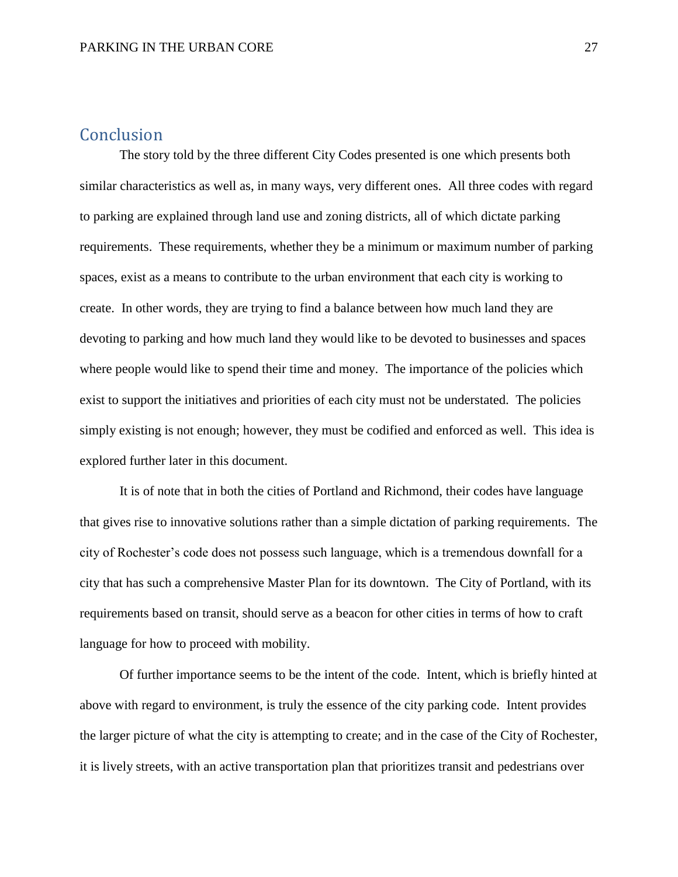#### <span id="page-28-0"></span>Conclusion

The story told by the three different City Codes presented is one which presents both similar characteristics as well as, in many ways, very different ones. All three codes with regard to parking are explained through land use and zoning districts, all of which dictate parking requirements. These requirements, whether they be a minimum or maximum number of parking spaces, exist as a means to contribute to the urban environment that each city is working to create. In other words, they are trying to find a balance between how much land they are devoting to parking and how much land they would like to be devoted to businesses and spaces where people would like to spend their time and money. The importance of the policies which exist to support the initiatives and priorities of each city must not be understated. The policies simply existing is not enough; however, they must be codified and enforced as well. This idea is explored further later in this document.

It is of note that in both the cities of Portland and Richmond, their codes have language that gives rise to innovative solutions rather than a simple dictation of parking requirements. The city of Rochester's code does not possess such language, which is a tremendous downfall for a city that has such a comprehensive Master Plan for its downtown. The City of Portland, with its requirements based on transit, should serve as a beacon for other cities in terms of how to craft language for how to proceed with mobility.

Of further importance seems to be the intent of the code. Intent, which is briefly hinted at above with regard to environment, is truly the essence of the city parking code. Intent provides the larger picture of what the city is attempting to create; and in the case of the City of Rochester, it is lively streets, with an active transportation plan that prioritizes transit and pedestrians over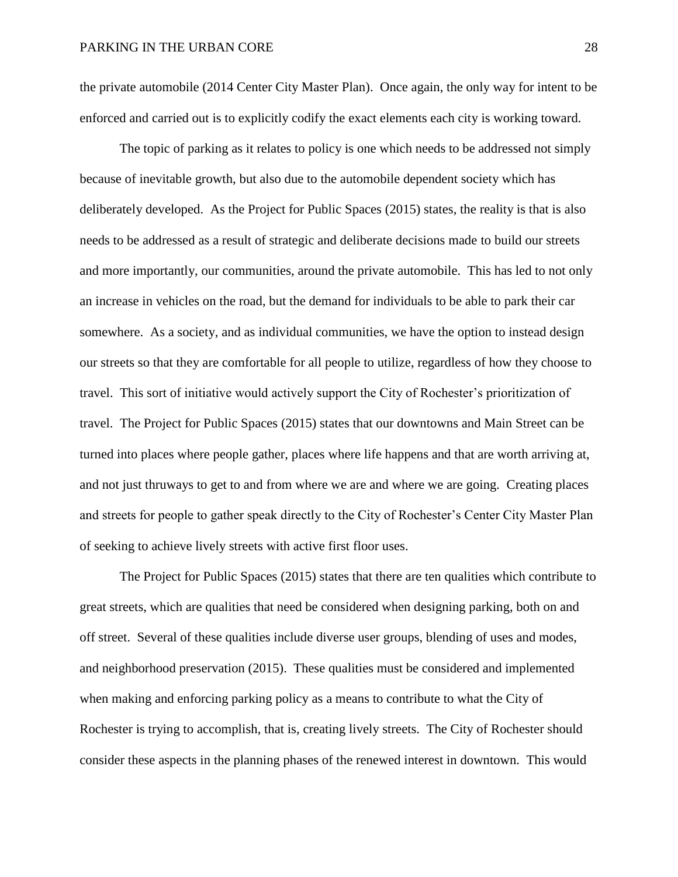the private automobile (2014 Center City Master Plan). Once again, the only way for intent to be enforced and carried out is to explicitly codify the exact elements each city is working toward.

The topic of parking as it relates to policy is one which needs to be addressed not simply because of inevitable growth, but also due to the automobile dependent society which has deliberately developed. As the Project for Public Spaces (2015) states, the reality is that is also needs to be addressed as a result of strategic and deliberate decisions made to build our streets and more importantly, our communities, around the private automobile. This has led to not only an increase in vehicles on the road, but the demand for individuals to be able to park their car somewhere. As a society, and as individual communities, we have the option to instead design our streets so that they are comfortable for all people to utilize, regardless of how they choose to travel. This sort of initiative would actively support the City of Rochester's prioritization of travel. The Project for Public Spaces (2015) states that our downtowns and Main Street can be turned into places where people gather, places where life happens and that are worth arriving at, and not just thruways to get to and from where we are and where we are going. Creating places and streets for people to gather speak directly to the City of Rochester's Center City Master Plan of seeking to achieve lively streets with active first floor uses.

The Project for Public Spaces (2015) states that there are ten qualities which contribute to great streets, which are qualities that need be considered when designing parking, both on and off street. Several of these qualities include diverse user groups, blending of uses and modes, and neighborhood preservation (2015). These qualities must be considered and implemented when making and enforcing parking policy as a means to contribute to what the City of Rochester is trying to accomplish, that is, creating lively streets. The City of Rochester should consider these aspects in the planning phases of the renewed interest in downtown. This would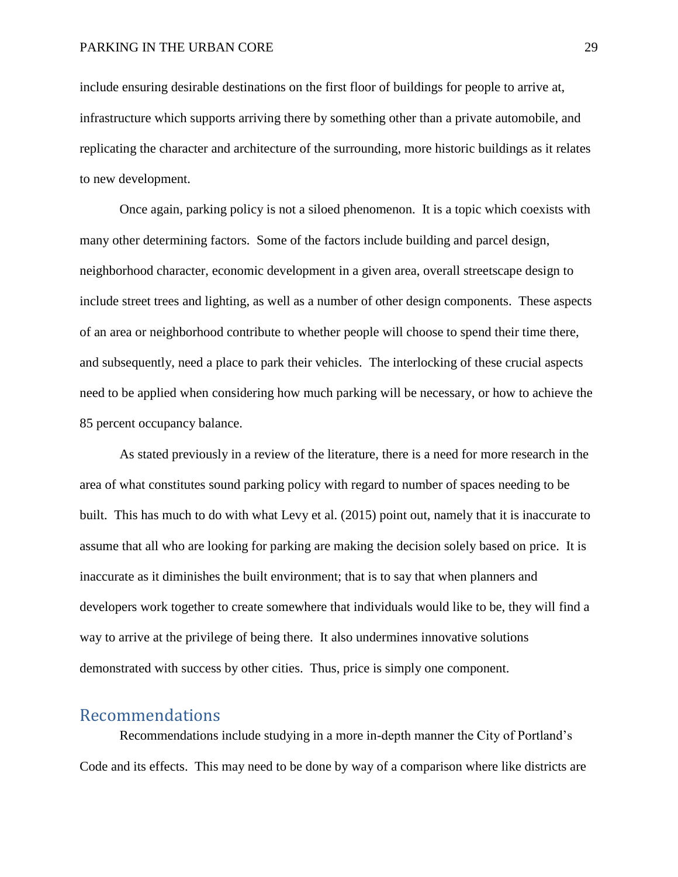include ensuring desirable destinations on the first floor of buildings for people to arrive at, infrastructure which supports arriving there by something other than a private automobile, and replicating the character and architecture of the surrounding, more historic buildings as it relates to new development.

Once again, parking policy is not a siloed phenomenon. It is a topic which coexists with many other determining factors. Some of the factors include building and parcel design, neighborhood character, economic development in a given area, overall streetscape design to include street trees and lighting, as well as a number of other design components. These aspects of an area or neighborhood contribute to whether people will choose to spend their time there, and subsequently, need a place to park their vehicles. The interlocking of these crucial aspects need to be applied when considering how much parking will be necessary, or how to achieve the 85 percent occupancy balance.

As stated previously in a review of the literature, there is a need for more research in the area of what constitutes sound parking policy with regard to number of spaces needing to be built. This has much to do with what Levy et al. (2015) point out, namely that it is inaccurate to assume that all who are looking for parking are making the decision solely based on price. It is inaccurate as it diminishes the built environment; that is to say that when planners and developers work together to create somewhere that individuals would like to be, they will find a way to arrive at the privilege of being there. It also undermines innovative solutions demonstrated with success by other cities. Thus, price is simply one component.

#### <span id="page-30-0"></span>Recommendations

Recommendations include studying in a more in-depth manner the City of Portland's Code and its effects. This may need to be done by way of a comparison where like districts are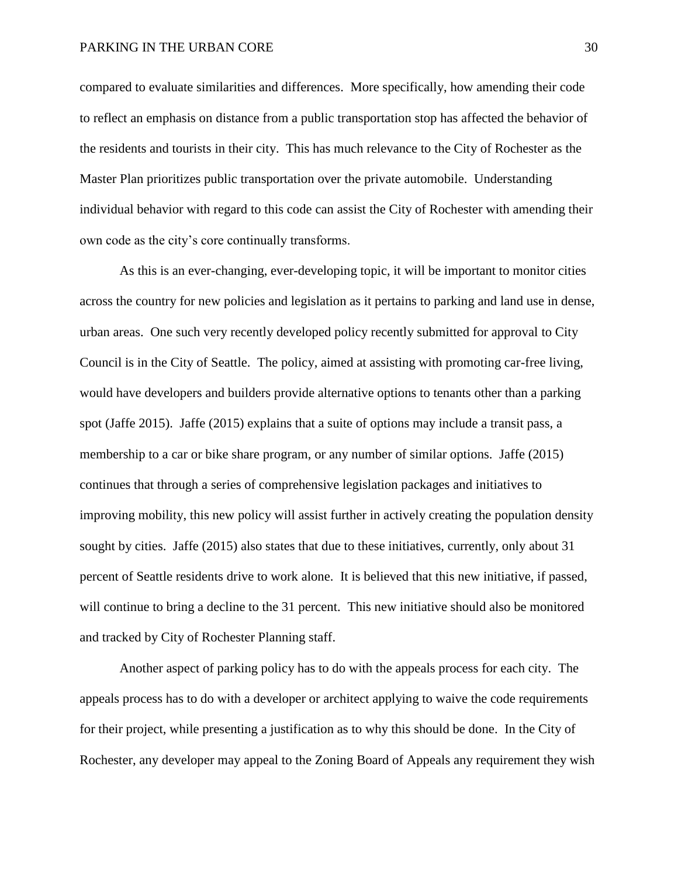compared to evaluate similarities and differences. More specifically, how amending their code to reflect an emphasis on distance from a public transportation stop has affected the behavior of the residents and tourists in their city. This has much relevance to the City of Rochester as the Master Plan prioritizes public transportation over the private automobile. Understanding individual behavior with regard to this code can assist the City of Rochester with amending their own code as the city's core continually transforms.

As this is an ever-changing, ever-developing topic, it will be important to monitor cities across the country for new policies and legislation as it pertains to parking and land use in dense, urban areas. One such very recently developed policy recently submitted for approval to City Council is in the City of Seattle. The policy, aimed at assisting with promoting car-free living, would have developers and builders provide alternative options to tenants other than a parking spot (Jaffe 2015). Jaffe (2015) explains that a suite of options may include a transit pass, a membership to a car or bike share program, or any number of similar options. Jaffe (2015) continues that through a series of comprehensive legislation packages and initiatives to improving mobility, this new policy will assist further in actively creating the population density sought by cities. Jaffe (2015) also states that due to these initiatives, currently, only about 31 percent of Seattle residents drive to work alone. It is believed that this new initiative, if passed, will continue to bring a decline to the 31 percent. This new initiative should also be monitored and tracked by City of Rochester Planning staff.

Another aspect of parking policy has to do with the appeals process for each city. The appeals process has to do with a developer or architect applying to waive the code requirements for their project, while presenting a justification as to why this should be done. In the City of Rochester, any developer may appeal to the Zoning Board of Appeals any requirement they wish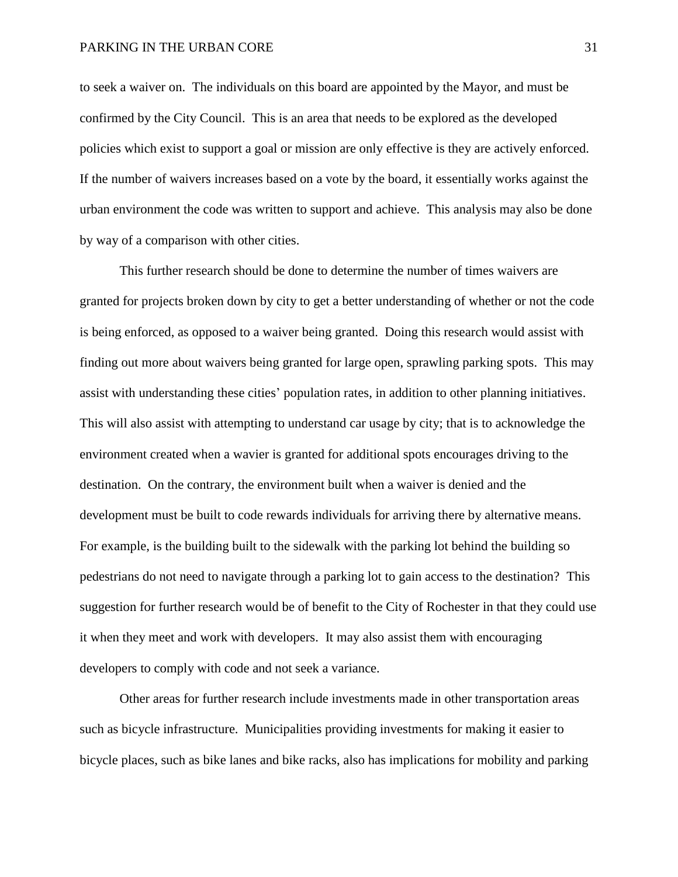to seek a waiver on. The individuals on this board are appointed by the Mayor, and must be confirmed by the City Council. This is an area that needs to be explored as the developed policies which exist to support a goal or mission are only effective is they are actively enforced. If the number of waivers increases based on a vote by the board, it essentially works against the urban environment the code was written to support and achieve. This analysis may also be done by way of a comparison with other cities.

This further research should be done to determine the number of times waivers are granted for projects broken down by city to get a better understanding of whether or not the code is being enforced, as opposed to a waiver being granted. Doing this research would assist with finding out more about waivers being granted for large open, sprawling parking spots. This may assist with understanding these cities' population rates, in addition to other planning initiatives. This will also assist with attempting to understand car usage by city; that is to acknowledge the environment created when a wavier is granted for additional spots encourages driving to the destination. On the contrary, the environment built when a waiver is denied and the development must be built to code rewards individuals for arriving there by alternative means. For example, is the building built to the sidewalk with the parking lot behind the building so pedestrians do not need to navigate through a parking lot to gain access to the destination? This suggestion for further research would be of benefit to the City of Rochester in that they could use it when they meet and work with developers. It may also assist them with encouraging developers to comply with code and not seek a variance.

Other areas for further research include investments made in other transportation areas such as bicycle infrastructure. Municipalities providing investments for making it easier to bicycle places, such as bike lanes and bike racks, also has implications for mobility and parking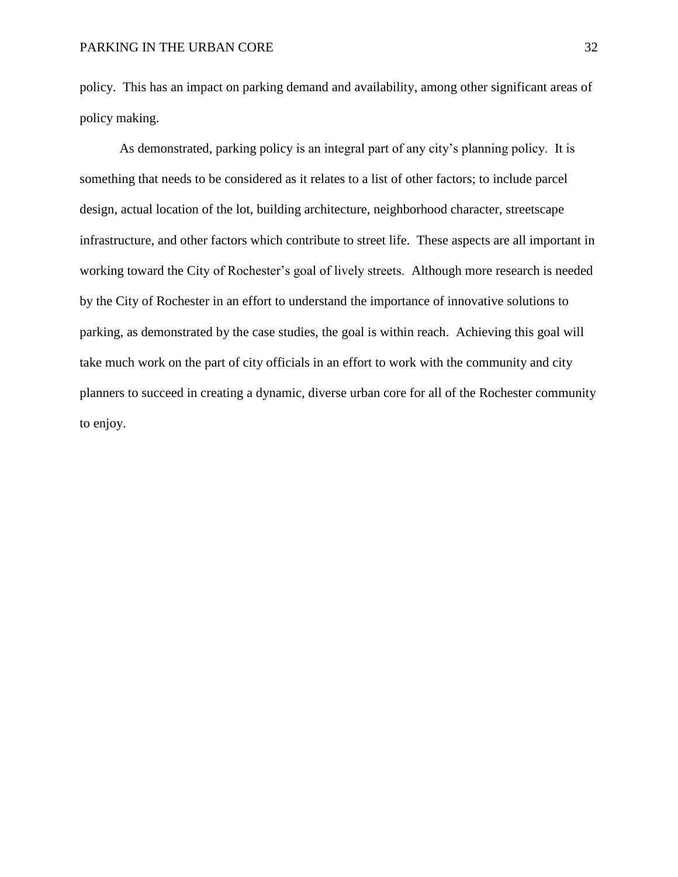policy. This has an impact on parking demand and availability, among other significant areas of policy making.

As demonstrated, parking policy is an integral part of any city's planning policy. It is something that needs to be considered as it relates to a list of other factors; to include parcel design, actual location of the lot, building architecture, neighborhood character, streetscape infrastructure, and other factors which contribute to street life. These aspects are all important in working toward the City of Rochester's goal of lively streets. Although more research is needed by the City of Rochester in an effort to understand the importance of innovative solutions to parking, as demonstrated by the case studies, the goal is within reach. Achieving this goal will take much work on the part of city officials in an effort to work with the community and city planners to succeed in creating a dynamic, diverse urban core for all of the Rochester community to enjoy.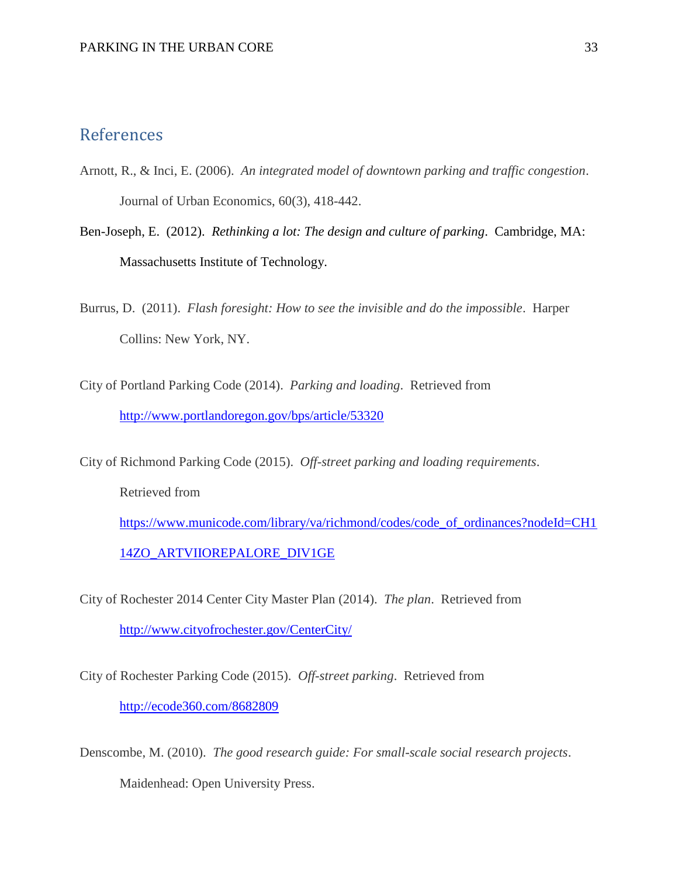#### <span id="page-34-0"></span>References

- Arnott, R., & Inci, E. (2006). *An integrated model of downtown parking and traffic congestion*. Journal of Urban Economics, 60(3), 418-442.
- Ben-Joseph, E. (2012). *Rethinking a lot: The design and culture of parking*. Cambridge, MA: Massachusetts Institute of Technology.
- Burrus, D. (2011). *Flash foresight: How to see the invisible and do the impossible*. Harper Collins: New York, NY.
- City of Portland Parking Code (2014). *Parking and loading*. Retrieved from <http://www.portlandoregon.gov/bps/article/53320>

City of Richmond Parking Code (2015). *Off-street parking and loading requirements*. Retrieved from [https://www.municode.com/library/va/richmond/codes/code\\_of\\_ordinances?nodeId=CH1](https://www.municode.com/library/va/richmond/codes/code_of_ordinances?nodeId=CH114ZO_ARTVIIOREPALORE_DIV1GE) [14ZO\\_ARTVIIOREPALORE\\_DIV1GE](https://www.municode.com/library/va/richmond/codes/code_of_ordinances?nodeId=CH114ZO_ARTVIIOREPALORE_DIV1GE)

City of Rochester 2014 Center City Master Plan (2014). *The plan*. Retrieved from <http://www.cityofrochester.gov/CenterCity/>

City of Rochester Parking Code (2015). *Off-street parking*. Retrieved from <http://ecode360.com/8682809>

Denscombe, M. (2010). *The good research guide: For small-scale social research projects*. Maidenhead: Open University Press.